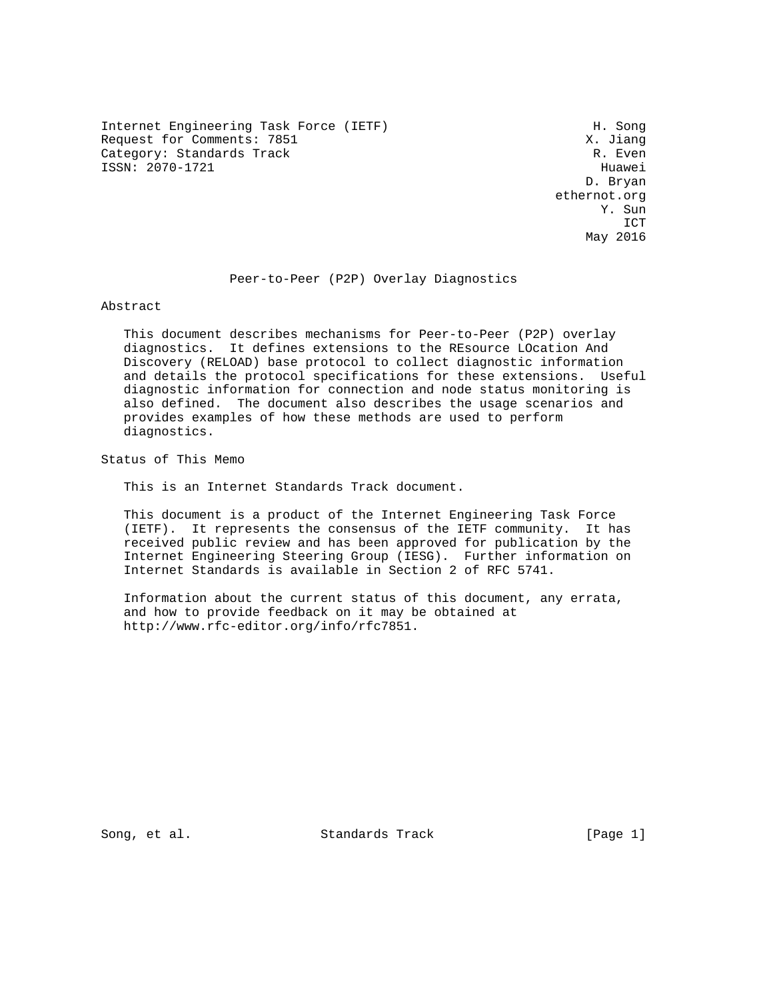Internet Engineering Task Force (IETF) H. Song Request for Comments: 7851 X. Jiang<br>Category: Standards Track (Research Monthly R. Even Category: Standards Track ISSN: 2070-1721 Huawei

 D. Bryan ethernot.org Y. Sun **ICT** ICT May 2016

Peer-to-Peer (P2P) Overlay Diagnostics

Abstract

 This document describes mechanisms for Peer-to-Peer (P2P) overlay diagnostics. It defines extensions to the REsource LOcation And Discovery (RELOAD) base protocol to collect diagnostic information and details the protocol specifications for these extensions. Useful diagnostic information for connection and node status monitoring is also defined. The document also describes the usage scenarios and provides examples of how these methods are used to perform diagnostics.

Status of This Memo

This is an Internet Standards Track document.

 This document is a product of the Internet Engineering Task Force (IETF). It represents the consensus of the IETF community. It has received public review and has been approved for publication by the Internet Engineering Steering Group (IESG). Further information on Internet Standards is available in Section 2 of RFC 5741.

 Information about the current status of this document, any errata, and how to provide feedback on it may be obtained at http://www.rfc-editor.org/info/rfc7851.

Song, et al. Standards Track [Page 1]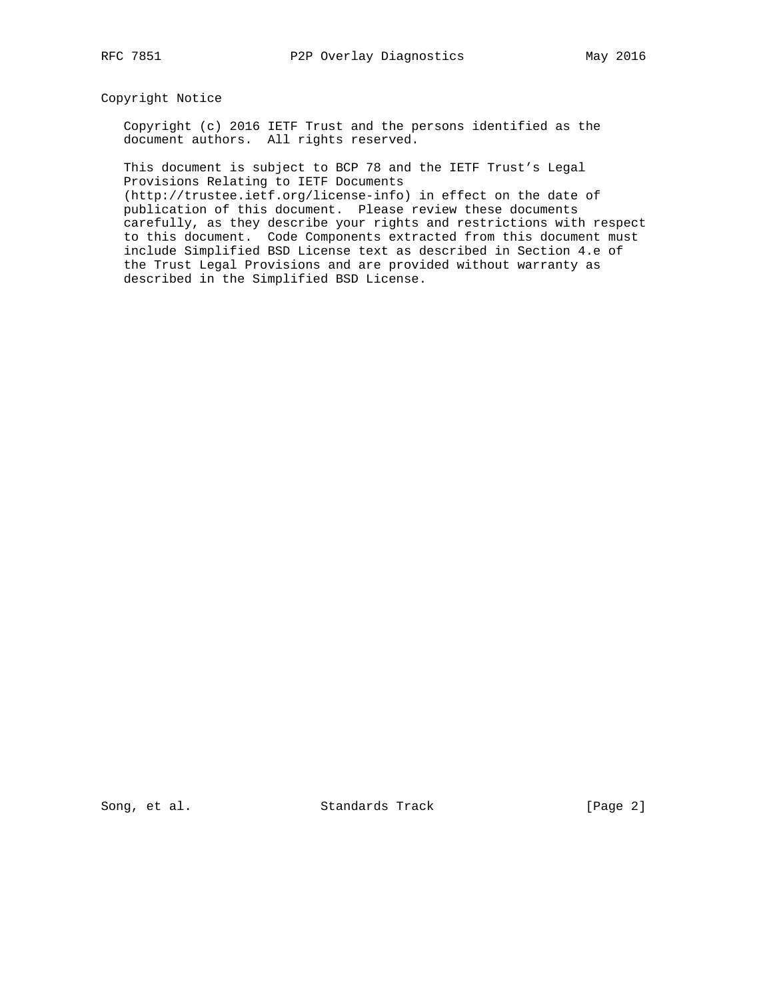## Copyright Notice

 Copyright (c) 2016 IETF Trust and the persons identified as the document authors. All rights reserved.

 This document is subject to BCP 78 and the IETF Trust's Legal Provisions Relating to IETF Documents

 (http://trustee.ietf.org/license-info) in effect on the date of publication of this document. Please review these documents carefully, as they describe your rights and restrictions with respect to this document. Code Components extracted from this document must include Simplified BSD License text as described in Section 4.e of the Trust Legal Provisions and are provided without warranty as described in the Simplified BSD License.

Song, et al. Standards Track [Page 2]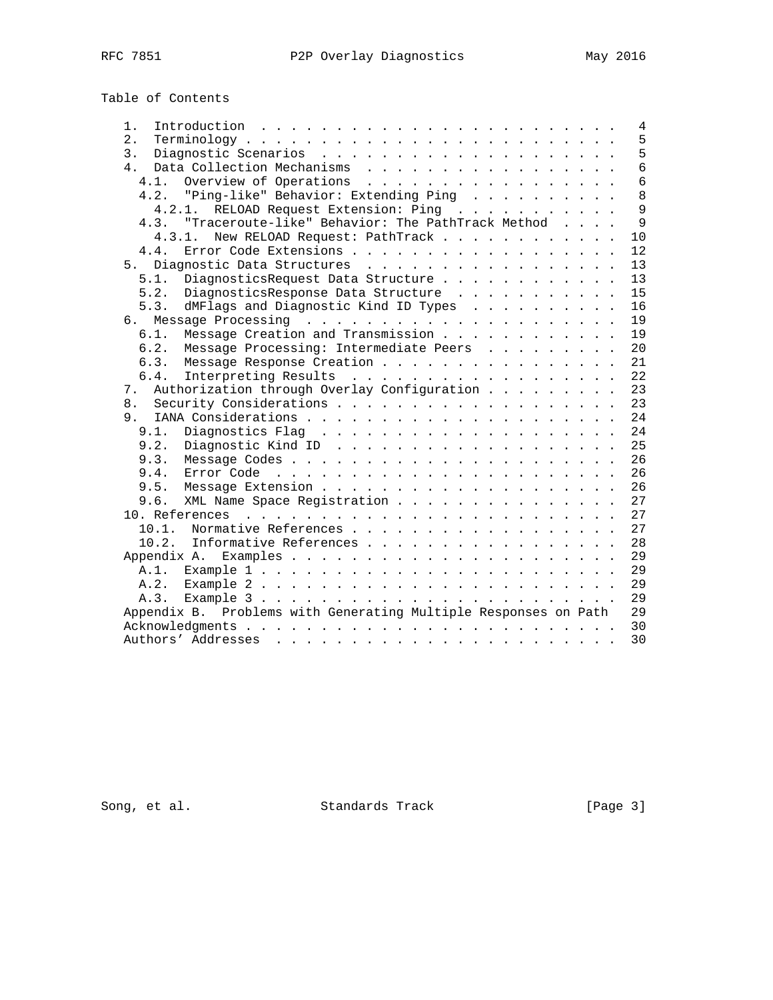# Table of Contents

| Introduction $\ldots \ldots \ldots \ldots \ldots \ldots \ldots \ldots$<br>1. |  | $\overline{4}$ |
|------------------------------------------------------------------------------|--|----------------|
| 2.                                                                           |  | 5              |
| 3.                                                                           |  | 5              |
| Data Collection Mechanisms<br>4.                                             |  | $\overline{6}$ |
| 4.1. Overview of Operations                                                  |  | $\overline{6}$ |
| 4.2. "Ping-like" Behavior: Extending Ping                                    |  | 8              |
| 4.2.1. RELOAD Request Extension: Ping                                        |  | $\overline{9}$ |
| 4.3. "Traceroute-like" Behavior: The PathTrack Method                        |  | $\mathsf{Q}$   |
| New RELOAD Request: PathTrack<br>4.3.1.                                      |  | 10             |
| Error Code Extensions<br>4.4.                                                |  | 12             |
| Diagnostic Data Structures<br>5.                                             |  | 13             |
| 5.1.<br>DiagnosticsRequest Data Structure                                    |  | 13             |
| 5.2. DiagnosticsResponse Data Structure                                      |  | 15             |
| dMFlags and Diagnostic Kind ID Types<br>5.3.                                 |  | 16             |
|                                                                              |  | 19             |
| Message Creation and Transmission<br>6.1.                                    |  | 19             |
| Message Processing: Intermediate Peers<br>6.2.                               |  | 20             |
| Message Response Creation<br>6.3.                                            |  | 21             |
| Interpreting Results<br>6.4.                                                 |  | 22             |
| Authorization through Overlay Configuration<br>7.                            |  | 23             |
|                                                                              |  | 23             |
|                                                                              |  | 24             |
| 9.1.                                                                         |  | 24             |
| 9.2.                                                                         |  | 25             |
| 9.3.                                                                         |  | 26             |
| 9.4.                                                                         |  | 26             |
| 9.5.                                                                         |  | 26             |
|                                                                              |  |                |
| XML Name Space Registration<br>9.6.                                          |  | 27             |
|                                                                              |  | 27             |
| Normative References<br>10.1.                                                |  | 27             |
| 10.2. Informative References                                                 |  | 28             |
|                                                                              |  | 29             |
|                                                                              |  | 29             |
|                                                                              |  | 29             |
|                                                                              |  | 29             |
| Appendix B. Problems with Generating Multiple Responses on Path              |  | 29             |
|                                                                              |  | 30             |
|                                                                              |  | 30             |

Song, et al. Standards Track [Page 3]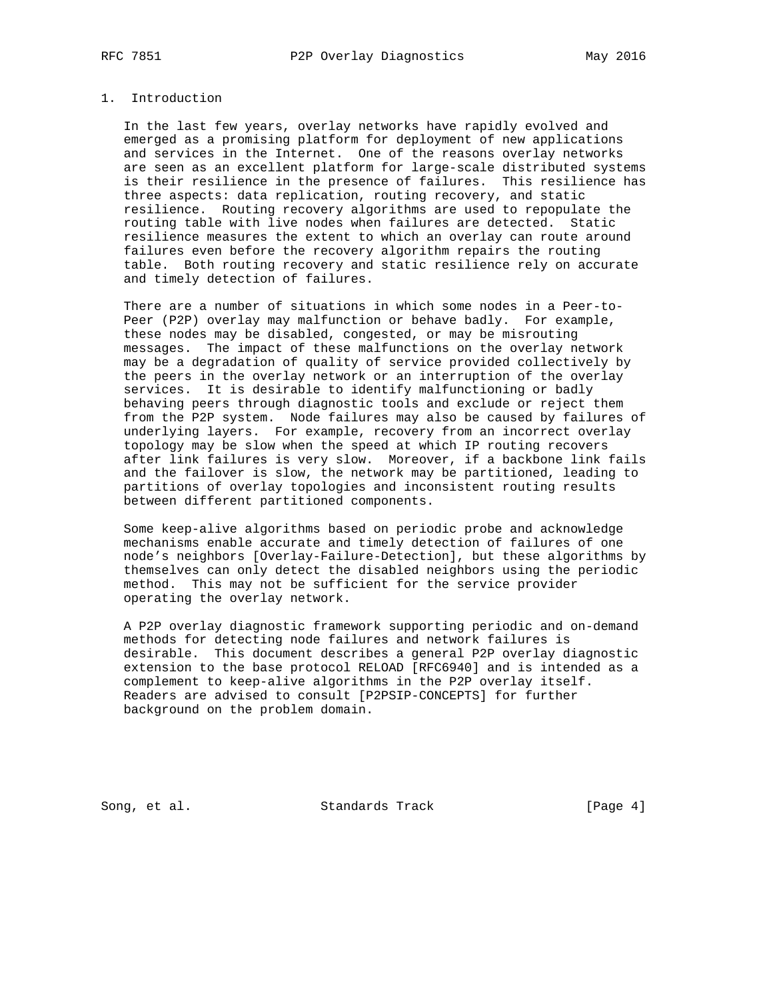## 1. Introduction

 In the last few years, overlay networks have rapidly evolved and emerged as a promising platform for deployment of new applications and services in the Internet. One of the reasons overlay networks are seen as an excellent platform for large-scale distributed systems is their resilience in the presence of failures. This resilience has three aspects: data replication, routing recovery, and static resilience. Routing recovery algorithms are used to repopulate the routing table with live nodes when failures are detected. Static resilience measures the extent to which an overlay can route around failures even before the recovery algorithm repairs the routing table. Both routing recovery and static resilience rely on accurate and timely detection of failures.

 There are a number of situations in which some nodes in a Peer-to- Peer (P2P) overlay may malfunction or behave badly. For example, these nodes may be disabled, congested, or may be misrouting messages. The impact of these malfunctions on the overlay network may be a degradation of quality of service provided collectively by the peers in the overlay network or an interruption of the overlay services. It is desirable to identify malfunctioning or badly behaving peers through diagnostic tools and exclude or reject them from the P2P system. Node failures may also be caused by failures of underlying layers. For example, recovery from an incorrect overlay topology may be slow when the speed at which IP routing recovers after link failures is very slow. Moreover, if a backbone link fails and the failover is slow, the network may be partitioned, leading to partitions of overlay topologies and inconsistent routing results between different partitioned components.

 Some keep-alive algorithms based on periodic probe and acknowledge mechanisms enable accurate and timely detection of failures of one node's neighbors [Overlay-Failure-Detection], but these algorithms by themselves can only detect the disabled neighbors using the periodic method. This may not be sufficient for the service provider operating the overlay network.

 A P2P overlay diagnostic framework supporting periodic and on-demand methods for detecting node failures and network failures is desirable. This document describes a general P2P overlay diagnostic extension to the base protocol RELOAD [RFC6940] and is intended as a complement to keep-alive algorithms in the P2P overlay itself. Readers are advised to consult [P2PSIP-CONCEPTS] for further background on the problem domain.

Song, et al. Standards Track [Page 4]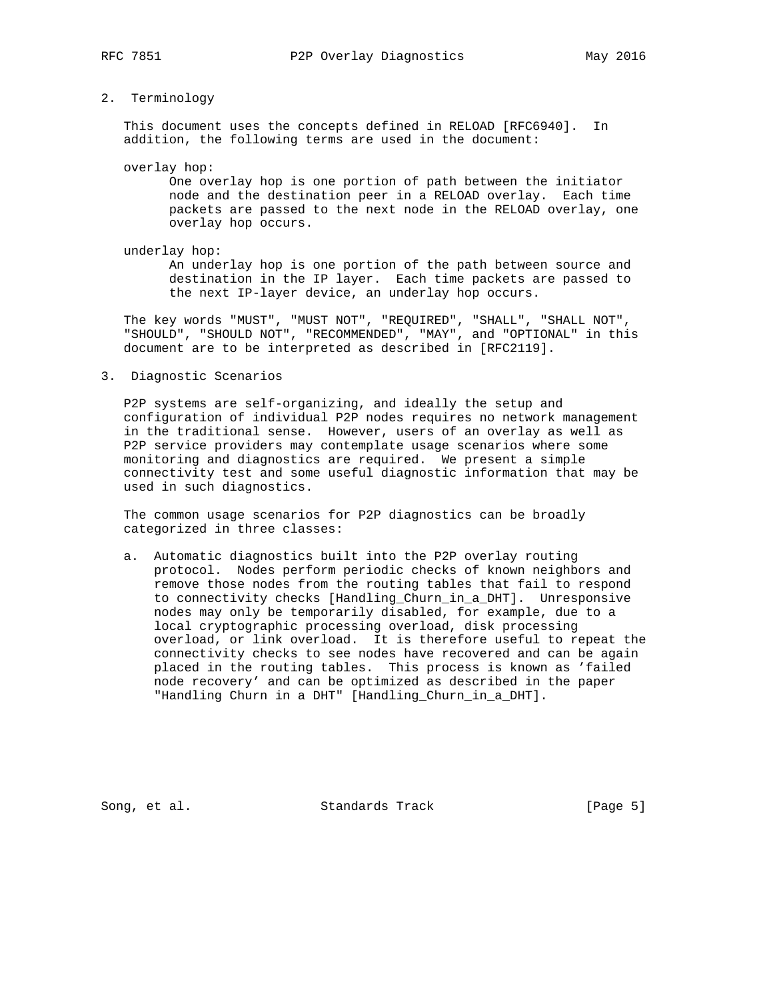#### 2. Terminology

 This document uses the concepts defined in RELOAD [RFC6940]. In addition, the following terms are used in the document:

overlay hop:

 One overlay hop is one portion of path between the initiator node and the destination peer in a RELOAD overlay. Each time packets are passed to the next node in the RELOAD overlay, one overlay hop occurs.

underlay hop:

 An underlay hop is one portion of the path between source and destination in the IP layer. Each time packets are passed to the next IP-layer device, an underlay hop occurs.

 The key words "MUST", "MUST NOT", "REQUIRED", "SHALL", "SHALL NOT", "SHOULD", "SHOULD NOT", "RECOMMENDED", "MAY", and "OPTIONAL" in this document are to be interpreted as described in [RFC2119].

3. Diagnostic Scenarios

 P2P systems are self-organizing, and ideally the setup and configuration of individual P2P nodes requires no network management in the traditional sense. However, users of an overlay as well as P2P service providers may contemplate usage scenarios where some monitoring and diagnostics are required. We present a simple connectivity test and some useful diagnostic information that may be used in such diagnostics.

 The common usage scenarios for P2P diagnostics can be broadly categorized in three classes:

 a. Automatic diagnostics built into the P2P overlay routing protocol. Nodes perform periodic checks of known neighbors and remove those nodes from the routing tables that fail to respond to connectivity checks [Handling\_Churn\_in\_a\_DHT]. Unresponsive nodes may only be temporarily disabled, for example, due to a local cryptographic processing overload, disk processing overload, or link overload. It is therefore useful to repeat the connectivity checks to see nodes have recovered and can be again placed in the routing tables. This process is known as 'failed node recovery' and can be optimized as described in the paper "Handling Churn in a DHT" [Handling\_Churn\_in\_a\_DHT].

Song, et al. Standards Track [Page 5]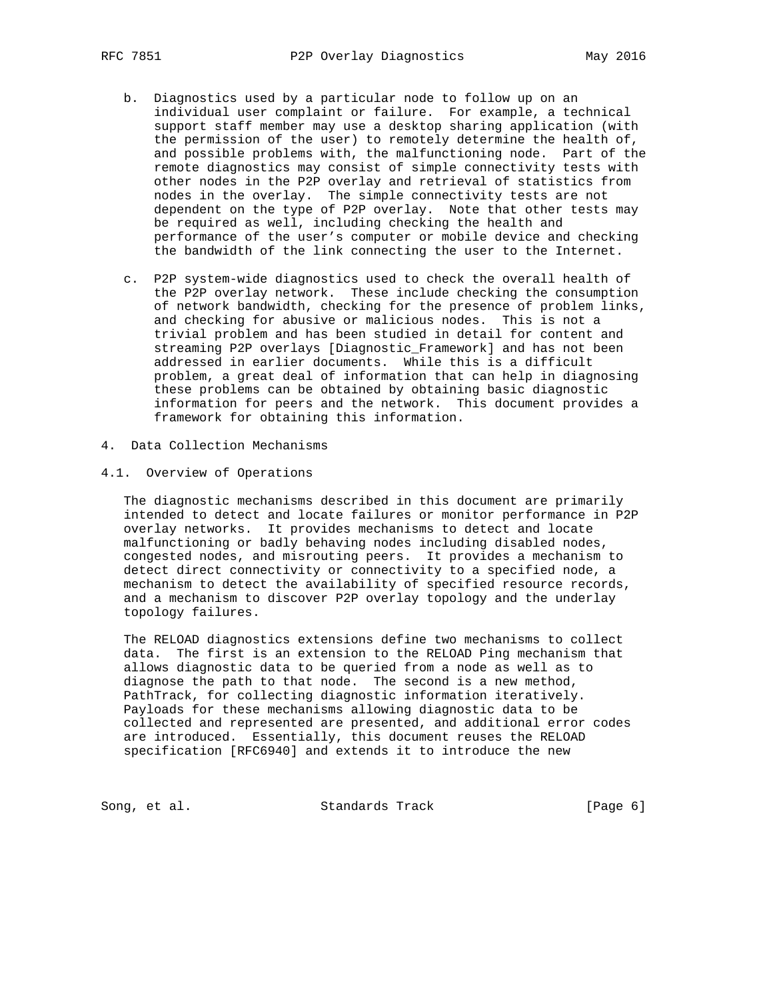- b. Diagnostics used by a particular node to follow up on an individual user complaint or failure. For example, a technical support staff member may use a desktop sharing application (with the permission of the user) to remotely determine the health of, and possible problems with, the malfunctioning node. Part of the remote diagnostics may consist of simple connectivity tests with other nodes in the P2P overlay and retrieval of statistics from nodes in the overlay. The simple connectivity tests are not dependent on the type of P2P overlay. Note that other tests may be required as well, including checking the health and performance of the user's computer or mobile device and checking the bandwidth of the link connecting the user to the Internet.
	- c. P2P system-wide diagnostics used to check the overall health of the P2P overlay network. These include checking the consumption of network bandwidth, checking for the presence of problem links, and checking for abusive or malicious nodes. This is not a trivial problem and has been studied in detail for content and streaming P2P overlays [Diagnostic\_Framework] and has not been addressed in earlier documents. While this is a difficult problem, a great deal of information that can help in diagnosing these problems can be obtained by obtaining basic diagnostic information for peers and the network. This document provides a framework for obtaining this information.
- 4. Data Collection Mechanisms
- 4.1. Overview of Operations

 The diagnostic mechanisms described in this document are primarily intended to detect and locate failures or monitor performance in P2P overlay networks. It provides mechanisms to detect and locate malfunctioning or badly behaving nodes including disabled nodes, congested nodes, and misrouting peers. It provides a mechanism to detect direct connectivity or connectivity to a specified node, a mechanism to detect the availability of specified resource records, and a mechanism to discover P2P overlay topology and the underlay topology failures.

 The RELOAD diagnostics extensions define two mechanisms to collect data. The first is an extension to the RELOAD Ping mechanism that allows diagnostic data to be queried from a node as well as to diagnose the path to that node. The second is a new method, PathTrack, for collecting diagnostic information iteratively. Payloads for these mechanisms allowing diagnostic data to be collected and represented are presented, and additional error codes are introduced. Essentially, this document reuses the RELOAD specification [RFC6940] and extends it to introduce the new

Song, et al. Standards Track [Page 6]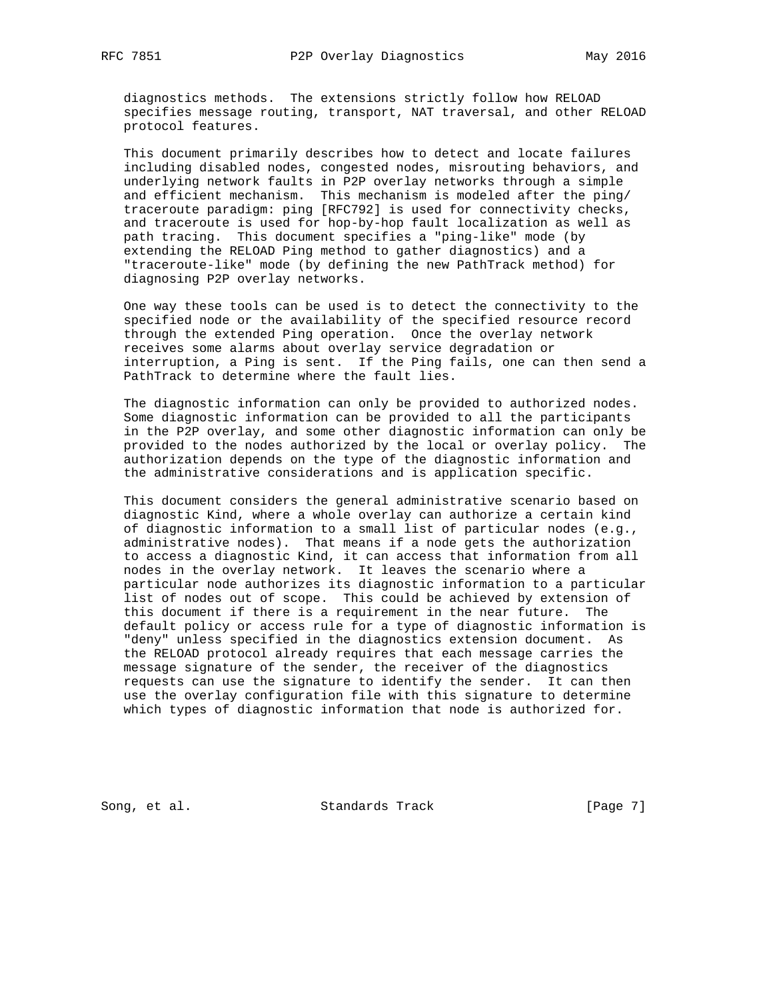diagnostics methods. The extensions strictly follow how RELOAD specifies message routing, transport, NAT traversal, and other RELOAD protocol features.

 This document primarily describes how to detect and locate failures including disabled nodes, congested nodes, misrouting behaviors, and underlying network faults in P2P overlay networks through a simple and efficient mechanism. This mechanism is modeled after the ping/ traceroute paradigm: ping [RFC792] is used for connectivity checks, and traceroute is used for hop-by-hop fault localization as well as path tracing. This document specifies a "ping-like" mode (by extending the RELOAD Ping method to gather diagnostics) and a "traceroute-like" mode (by defining the new PathTrack method) for diagnosing P2P overlay networks.

 One way these tools can be used is to detect the connectivity to the specified node or the availability of the specified resource record through the extended Ping operation. Once the overlay network receives some alarms about overlay service degradation or interruption, a Ping is sent. If the Ping fails, one can then send a PathTrack to determine where the fault lies.

 The diagnostic information can only be provided to authorized nodes. Some diagnostic information can be provided to all the participants in the P2P overlay, and some other diagnostic information can only be provided to the nodes authorized by the local or overlay policy. The authorization depends on the type of the diagnostic information and the administrative considerations and is application specific.

 This document considers the general administrative scenario based on diagnostic Kind, where a whole overlay can authorize a certain kind of diagnostic information to a small list of particular nodes (e.g., administrative nodes). That means if a node gets the authorization to access a diagnostic Kind, it can access that information from all nodes in the overlay network. It leaves the scenario where a particular node authorizes its diagnostic information to a particular list of nodes out of scope. This could be achieved by extension of this document if there is a requirement in the near future. The default policy or access rule for a type of diagnostic information is "deny" unless specified in the diagnostics extension document. As the RELOAD protocol already requires that each message carries the message signature of the sender, the receiver of the diagnostics requests can use the signature to identify the sender. It can then use the overlay configuration file with this signature to determine which types of diagnostic information that node is authorized for.

Song, et al. Standards Track [Page 7]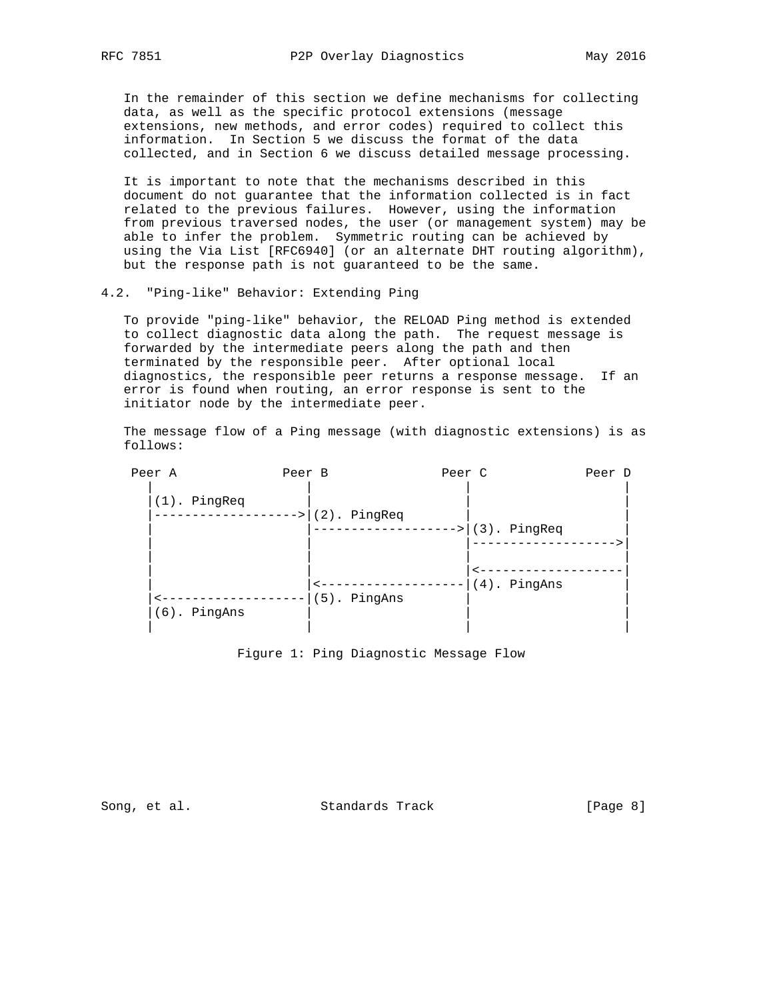In the remainder of this section we define mechanisms for collecting data, as well as the specific protocol extensions (message extensions, new methods, and error codes) required to collect this information. In Section 5 we discuss the format of the data collected, and in Section 6 we discuss detailed message processing.

 It is important to note that the mechanisms described in this document do not guarantee that the information collected is in fact related to the previous failures. However, using the information from previous traversed nodes, the user (or management system) may be able to infer the problem. Symmetric routing can be achieved by using the Via List [RFC6940] (or an alternate DHT routing algorithm), but the response path is not guaranteed to be the same.

### 4.2. "Ping-like" Behavior: Extending Ping

 To provide "ping-like" behavior, the RELOAD Ping method is extended to collect diagnostic data along the path. The request message is forwarded by the intermediate peers along the path and then terminated by the responsible peer. After optional local diagnostics, the responsible peer returns a response message. If an error is found when routing, an error response is sent to the initiator node by the intermediate peer.

 The message flow of a Ping message (with diagnostic extensions) is as follows:

| Peer A          | Peer B |                    | Peer C |                    | Peer D |
|-----------------|--------|--------------------|--------|--------------------|--------|
| (1). PingReq    |        | PingReq<br>$(2)$ . |        | (3). PingReq       |        |
| $(6)$ . PingAns |        | (5). PingAns       |        | PingAns<br>$(4)$ . |        |

Figure 1: Ping Diagnostic Message Flow

Song, et al. Standards Track [Page 8]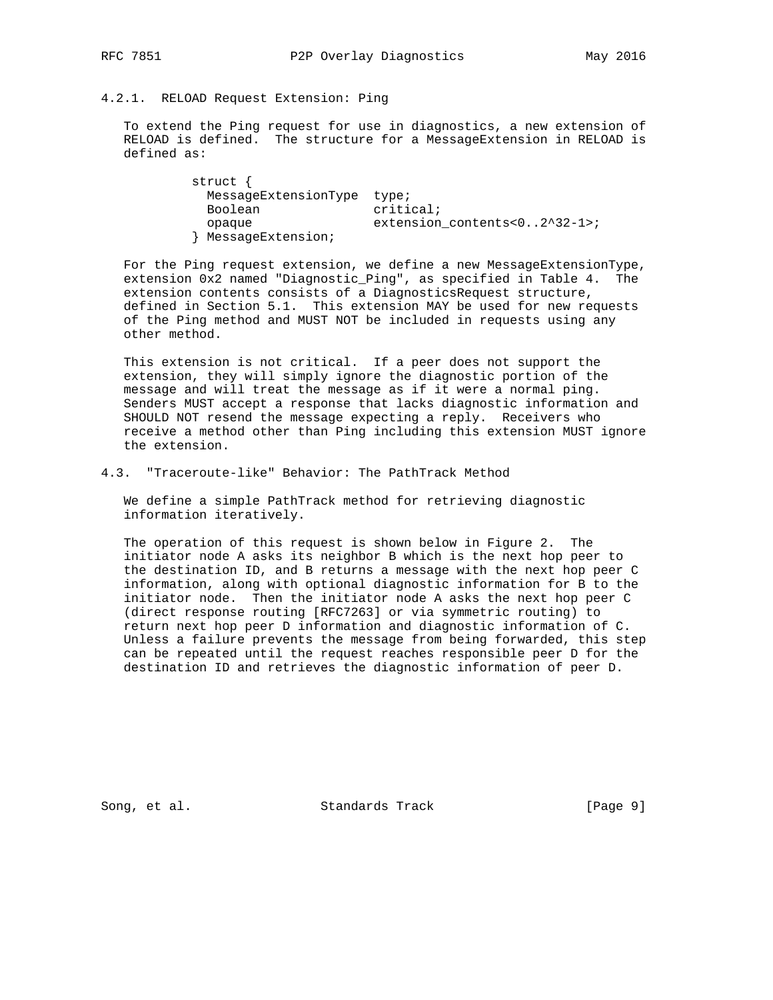#### 4.2.1. RELOAD Request Extension: Ping

 To extend the Ping request for use in diagnostics, a new extension of RELOAD is defined. The structure for a MessageExtension in RELOAD is defined as:

 struct { MessageExtensionType type; Boolean critical; opaque extension\_contents<0..2^32-1>; } MessageExtension;

For the Ping request extension, we define a new MessageExtensionType, extension 0x2 named "Diagnostic\_Ping", as specified in Table 4. The extension contents consists of a DiagnosticsRequest structure, defined in Section 5.1. This extension MAY be used for new requests of the Ping method and MUST NOT be included in requests using any other method.

 This extension is not critical. If a peer does not support the extension, they will simply ignore the diagnostic portion of the message and will treat the message as if it were a normal ping. Senders MUST accept a response that lacks diagnostic information and SHOULD NOT resend the message expecting a reply. Receivers who receive a method other than Ping including this extension MUST ignore the extension.

4.3. "Traceroute-like" Behavior: The PathTrack Method

 We define a simple PathTrack method for retrieving diagnostic information iteratively.

 The operation of this request is shown below in Figure 2. The initiator node A asks its neighbor B which is the next hop peer to the destination ID, and B returns a message with the next hop peer C information, along with optional diagnostic information for B to the initiator node. Then the initiator node A asks the next hop peer C (direct response routing [RFC7263] or via symmetric routing) to return next hop peer D information and diagnostic information of C. Unless a failure prevents the message from being forwarded, this step can be repeated until the request reaches responsible peer D for the destination ID and retrieves the diagnostic information of peer D.

Song, et al. Standards Track [Page 9]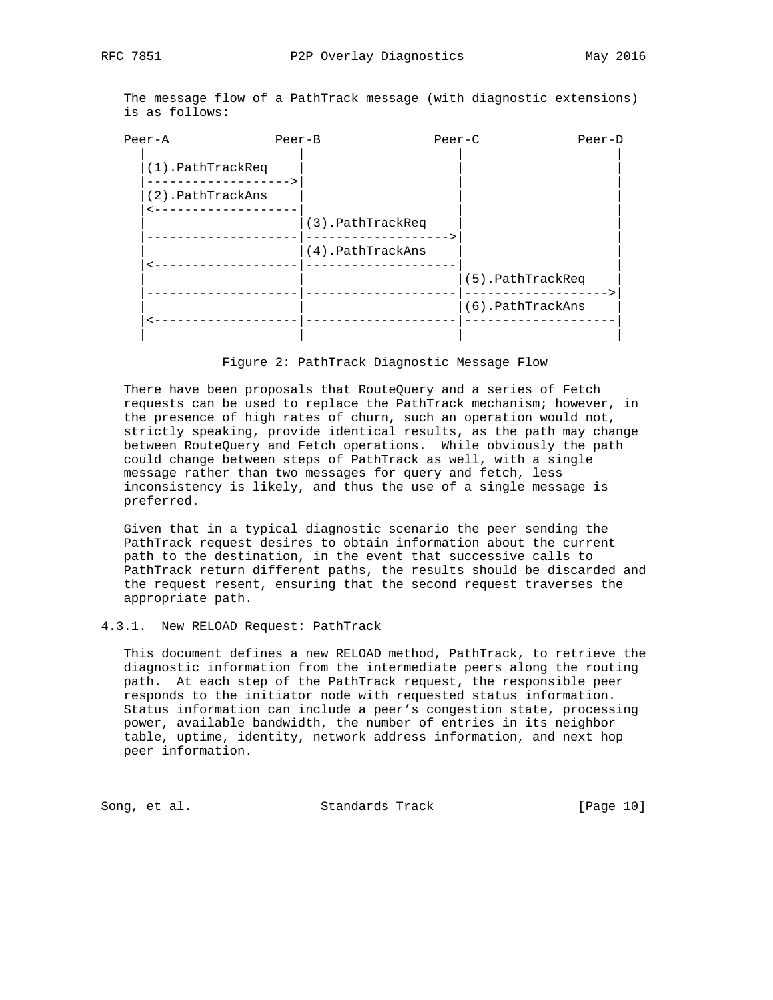The message flow of a PathTrack message (with diagnostic extensions) is as follows:

| $Peer-A$             | Peer-B | $Pear-C$                                 |                  | Peer-D |
|----------------------|--------|------------------------------------------|------------------|--------|
| $(1)$ . PathTrackReq |        |                                          |                  |        |
| (2).PathTrackAns     |        |                                          |                  |        |
|                      |        | (3).PathTrackReq<br>$(4)$ . PathTrackAns |                  |        |
|                      |        |                                          | (5).PathTrackReq |        |
|                      |        |                                          | (6).PathTrackAns |        |
|                      |        |                                          |                  |        |

Figure 2: PathTrack Diagnostic Message Flow

 There have been proposals that RouteQuery and a series of Fetch requests can be used to replace the PathTrack mechanism; however, in the presence of high rates of churn, such an operation would not, strictly speaking, provide identical results, as the path may change between RouteQuery and Fetch operations. While obviously the path could change between steps of PathTrack as well, with a single message rather than two messages for query and fetch, less inconsistency is likely, and thus the use of a single message is preferred.

 Given that in a typical diagnostic scenario the peer sending the PathTrack request desires to obtain information about the current path to the destination, in the event that successive calls to PathTrack return different paths, the results should be discarded and the request resent, ensuring that the second request traverses the appropriate path.

4.3.1. New RELOAD Request: PathTrack

 This document defines a new RELOAD method, PathTrack, to retrieve the diagnostic information from the intermediate peers along the routing path. At each step of the PathTrack request, the responsible peer responds to the initiator node with requested status information. Status information can include a peer's congestion state, processing power, available bandwidth, the number of entries in its neighbor table, uptime, identity, network address information, and next hop peer information.

Song, et al. Standards Track [Page 10]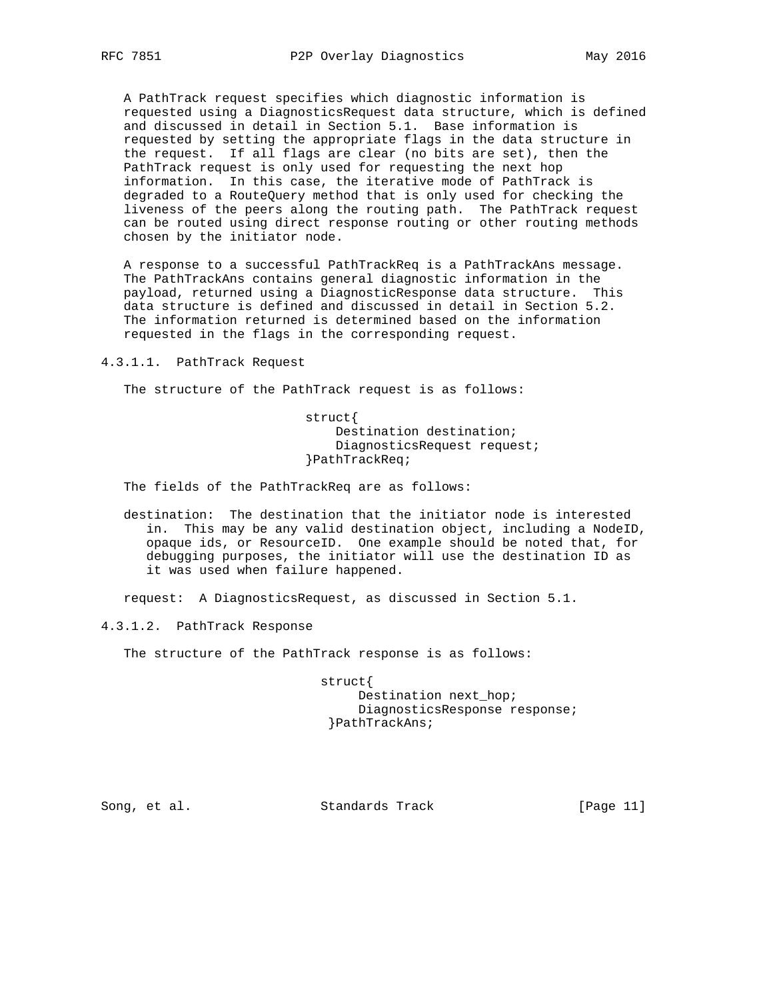A PathTrack request specifies which diagnostic information is requested using a DiagnosticsRequest data structure, which is defined and discussed in detail in Section 5.1. Base information is requested by setting the appropriate flags in the data structure in the request. If all flags are clear (no bits are set), then the PathTrack request is only used for requesting the next hop information. In this case, the iterative mode of PathTrack is degraded to a RouteQuery method that is only used for checking the liveness of the peers along the routing path. The PathTrack request can be routed using direct response routing or other routing methods chosen by the initiator node.

 A response to a successful PathTrackReq is a PathTrackAns message. The PathTrackAns contains general diagnostic information in the payload, returned using a DiagnosticResponse data structure. This data structure is defined and discussed in detail in Section 5.2. The information returned is determined based on the information requested in the flags in the corresponding request.

4.3.1.1. PathTrack Request

The structure of the PathTrack request is as follows:

 struct{ Destination destination; DiagnosticsRequest request; }PathTrackReq;

The fields of the PathTrackReq are as follows:

 destination: The destination that the initiator node is interested in. This may be any valid destination object, including a NodeID, opaque ids, or ResourceID. One example should be noted that, for debugging purposes, the initiator will use the destination ID as it was used when failure happened.

request: A DiagnosticsRequest, as discussed in Section 5.1.

4.3.1.2. PathTrack Response

The structure of the PathTrack response is as follows:

 struct{ Destination next\_hop; DiagnosticsResponse response; }PathTrackAns;

Song, et al. Standards Track [Page 11]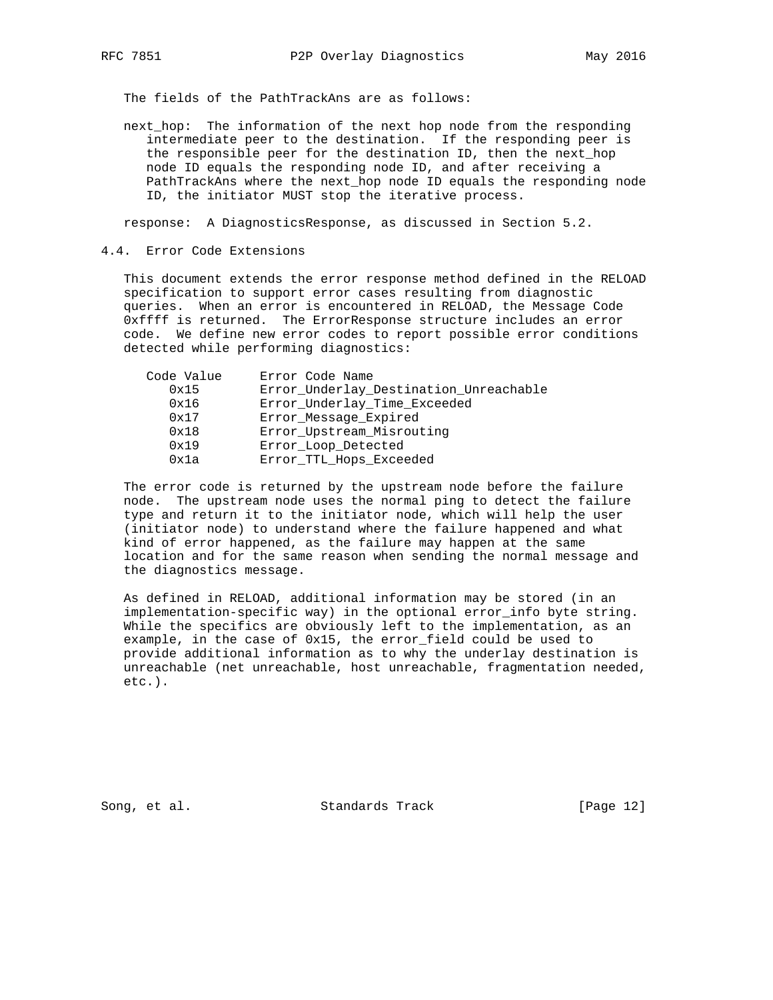The fields of the PathTrackAns are as follows:

 next\_hop: The information of the next hop node from the responding intermediate peer to the destination. If the responding peer is the responsible peer for the destination ID, then the next\_hop node ID equals the responding node ID, and after receiving a PathTrackAns where the next\_hop node ID equals the responding node ID, the initiator MUST stop the iterative process.

response: A DiagnosticsResponse, as discussed in Section 5.2.

4.4. Error Code Extensions

 This document extends the error response method defined in the RELOAD specification to support error cases resulting from diagnostic queries. When an error is encountered in RELOAD, the Message Code 0xffff is returned. The ErrorResponse structure includes an error code. We define new error codes to report possible error conditions detected while performing diagnostics:

| Code Value | Error Code Name                        |
|------------|----------------------------------------|
| 0x15       | Error Underlay Destination Unreachable |
| 0x16       | Error Underlay Time Exceeded           |
| 0x17       | Error Message Expired                  |
| 0x18       | Error Upstream Misrouting              |
| 0x19       | Error Loop Detected                    |
| 0x1a       | Error_TTL_Hops_Exceeded                |

 The error code is returned by the upstream node before the failure node. The upstream node uses the normal ping to detect the failure type and return it to the initiator node, which will help the user (initiator node) to understand where the failure happened and what kind of error happened, as the failure may happen at the same location and for the same reason when sending the normal message and the diagnostics message.

 As defined in RELOAD, additional information may be stored (in an implementation-specific way) in the optional error\_info byte string. While the specifics are obviously left to the implementation, as an example, in the case of 0x15, the error\_field could be used to provide additional information as to why the underlay destination is unreachable (net unreachable, host unreachable, fragmentation needed, etc.).

Song, et al. Standards Track [Page 12]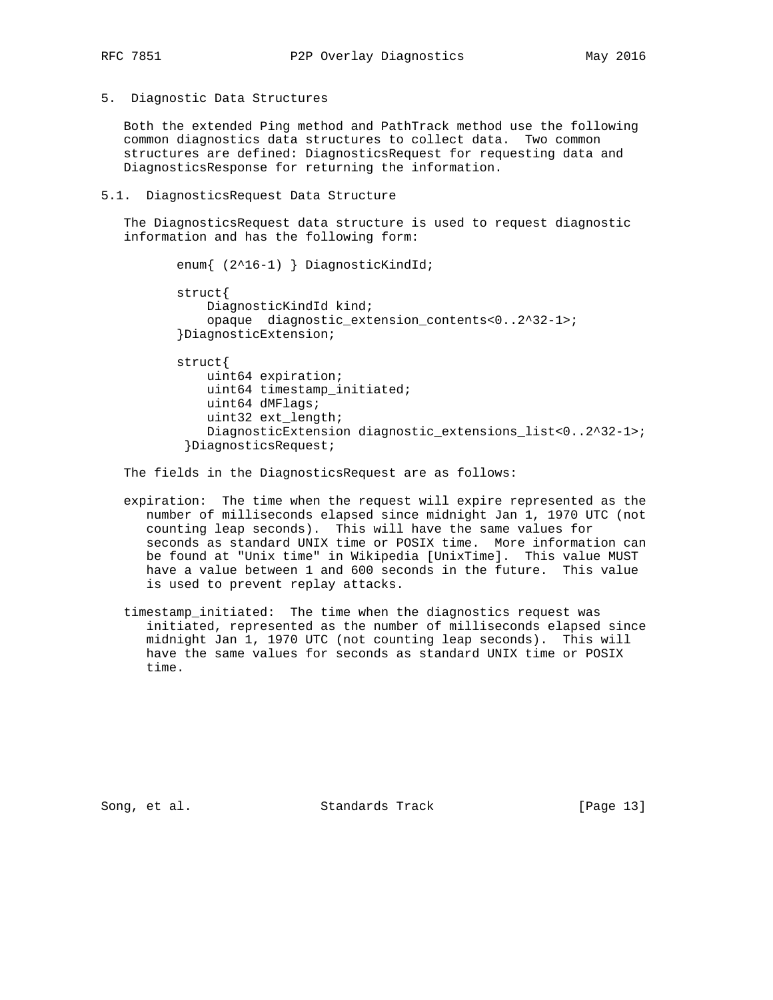5. Diagnostic Data Structures

 Both the extended Ping method and PathTrack method use the following common diagnostics data structures to collect data. Two common structures are defined: DiagnosticsRequest for requesting data and DiagnosticsResponse for returning the information.

5.1. DiagnosticsRequest Data Structure

 The DiagnosticsRequest data structure is used to request diagnostic information and has the following form:

```
 enum{ (2^16-1) } DiagnosticKindId;
struct{
    DiagnosticKindId kind;
    opaque diagnostic_extension_contents<0..2^32-1>;
}DiagnosticExtension;
struct{
    uint64 expiration;
    uint64 timestamp_initiated;
    uint64 dMFlags;
    uint32 ext_length;
    DiagnosticExtension diagnostic_extensions_list<0..2^32-1>;
 }DiagnosticsRequest;
```
The fields in the DiagnosticsRequest are as follows:

- expiration: The time when the request will expire represented as the number of milliseconds elapsed since midnight Jan 1, 1970 UTC (not counting leap seconds). This will have the same values for seconds as standard UNIX time or POSIX time. More information can be found at "Unix time" in Wikipedia [UnixTime]. This value MUST have a value between 1 and 600 seconds in the future. This value is used to prevent replay attacks.
- timestamp\_initiated: The time when the diagnostics request was initiated, represented as the number of milliseconds elapsed since midnight Jan 1, 1970 UTC (not counting leap seconds). This will have the same values for seconds as standard UNIX time or POSIX time.

Song, et al. Standards Track [Page 13]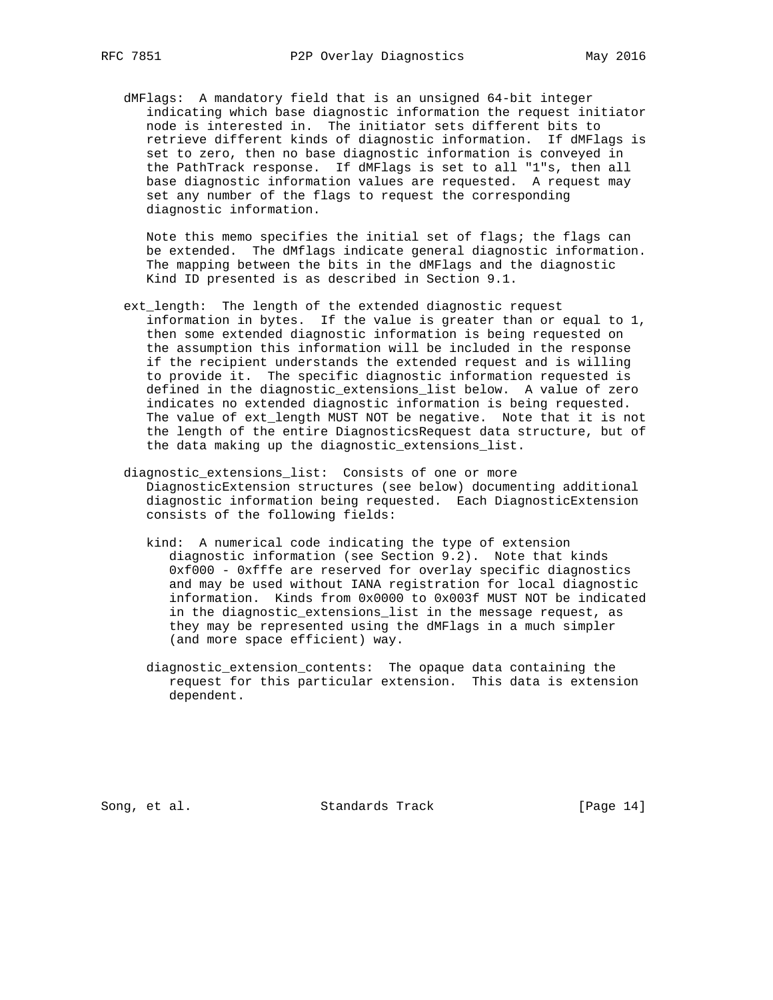dMFlags: A mandatory field that is an unsigned 64-bit integer indicating which base diagnostic information the request initiator node is interested in. The initiator sets different bits to retrieve different kinds of diagnostic information. If dMFlags is set to zero, then no base diagnostic information is conveyed in the PathTrack response. If dMFlags is set to all "1"s, then all base diagnostic information values are requested. A request may set any number of the flags to request the corresponding diagnostic information.

 Note this memo specifies the initial set of flags; the flags can be extended. The dMflags indicate general diagnostic information. The mapping between the bits in the dMFlags and the diagnostic Kind ID presented is as described in Section 9.1.

- ext\_length: The length of the extended diagnostic request information in bytes. If the value is greater than or equal to 1, then some extended diagnostic information is being requested on the assumption this information will be included in the response if the recipient understands the extended request and is willing to provide it. The specific diagnostic information requested is defined in the diagnostic\_extensions\_list below. A value of zero indicates no extended diagnostic information is being requested. The value of ext\_length MUST NOT be negative. Note that it is not the length of the entire DiagnosticsRequest data structure, but of the data making up the diagnostic\_extensions\_list.
- diagnostic\_extensions\_list: Consists of one or more DiagnosticExtension structures (see below) documenting additional diagnostic information being requested. Each DiagnosticExtension consists of the following fields:
	- kind: A numerical code indicating the type of extension diagnostic information (see Section 9.2). Note that kinds 0xf000 - 0xfffe are reserved for overlay specific diagnostics and may be used without IANA registration for local diagnostic information. Kinds from 0x0000 to 0x003f MUST NOT be indicated in the diagnostic\_extensions\_list in the message request, as they may be represented using the dMFlags in a much simpler (and more space efficient) way.
	- diagnostic\_extension\_contents: The opaque data containing the request for this particular extension. This data is extension dependent.

Song, et al. Standards Track [Page 14]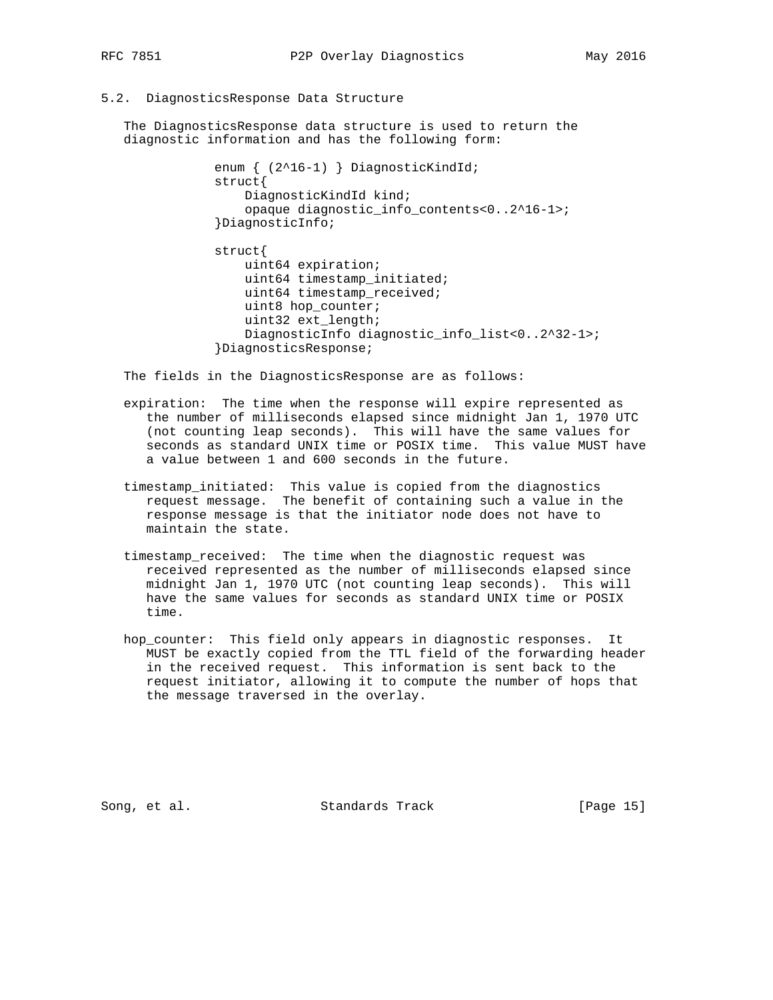#### 5.2. DiagnosticsResponse Data Structure

 The DiagnosticsResponse data structure is used to return the diagnostic information and has the following form:

```
 enum { (2^16-1) } DiagnosticKindId;
struct{
   DiagnosticKindId kind;
    opaque diagnostic_info_contents<0..2^16-1>;
}DiagnosticInfo;
```

```
 struct{
    uint64 expiration;
    uint64 timestamp_initiated;
    uint64 timestamp_received;
    uint8 hop_counter;
    uint32 ext_length;
    DiagnosticInfo diagnostic_info_list<0..2^32-1>;
}DiagnosticsResponse;
```
The fields in the DiagnosticsResponse are as follows:

- expiration: The time when the response will expire represented as the number of milliseconds elapsed since midnight Jan 1, 1970 UTC (not counting leap seconds). This will have the same values for seconds as standard UNIX time or POSIX time. This value MUST have a value between 1 and 600 seconds in the future.
- timestamp\_initiated: This value is copied from the diagnostics request message. The benefit of containing such a value in the response message is that the initiator node does not have to maintain the state.
- timestamp\_received: The time when the diagnostic request was received represented as the number of milliseconds elapsed since midnight Jan 1, 1970 UTC (not counting leap seconds). This will have the same values for seconds as standard UNIX time or POSIX time.
- hop\_counter: This field only appears in diagnostic responses. It MUST be exactly copied from the TTL field of the forwarding header in the received request. This information is sent back to the request initiator, allowing it to compute the number of hops that the message traversed in the overlay.

Song, et al. Standards Track [Page 15]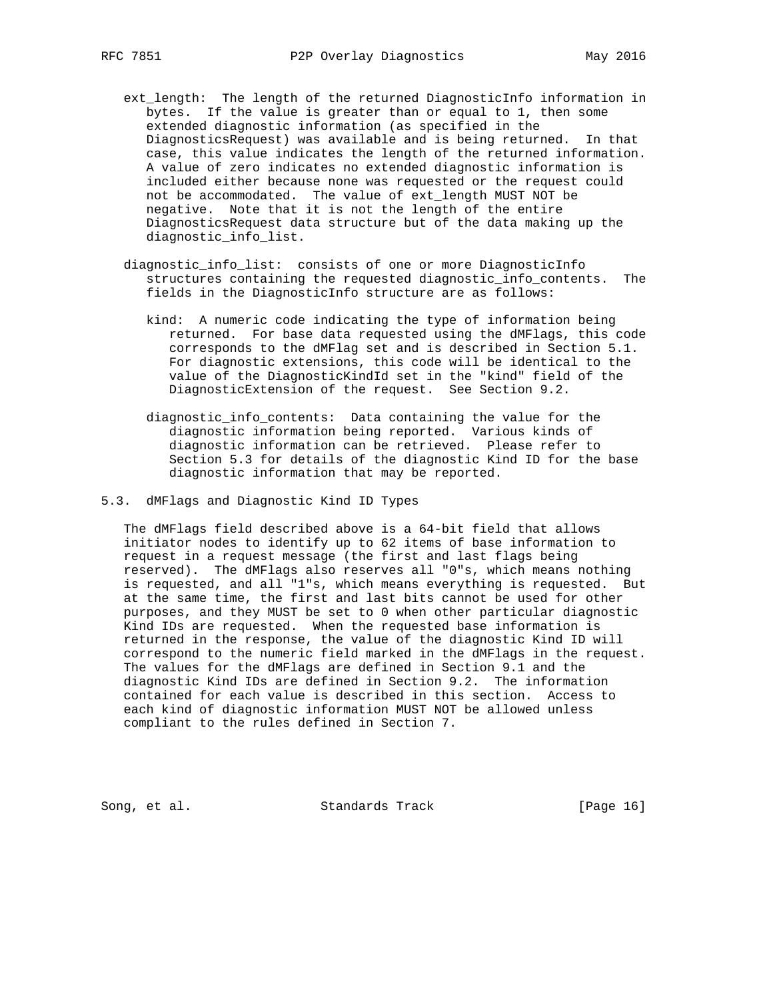- ext\_length: The length of the returned DiagnosticInfo information in bytes. If the value is greater than or equal to 1, then some extended diagnostic information (as specified in the DiagnosticsRequest) was available and is being returned. In that case, this value indicates the length of the returned information. A value of zero indicates no extended diagnostic information is included either because none was requested or the request could not be accommodated. The value of ext\_length MUST NOT be negative. Note that it is not the length of the entire DiagnosticsRequest data structure but of the data making up the diagnostic\_info\_list.
- diagnostic\_info\_list: consists of one or more DiagnosticInfo structures containing the requested diagnostic\_info\_contents. The fields in the DiagnosticInfo structure are as follows:
	- kind: A numeric code indicating the type of information being returned. For base data requested using the dMFlags, this code corresponds to the dMFlag set and is described in Section 5.1. For diagnostic extensions, this code will be identical to the value of the DiagnosticKindId set in the "kind" field of the DiagnosticExtension of the request. See Section 9.2.
	- diagnostic\_info\_contents: Data containing the value for the diagnostic information being reported. Various kinds of diagnostic information can be retrieved. Please refer to Section 5.3 for details of the diagnostic Kind ID for the base diagnostic information that may be reported.
- 5.3. dMFlags and Diagnostic Kind ID Types

 The dMFlags field described above is a 64-bit field that allows initiator nodes to identify up to 62 items of base information to request in a request message (the first and last flags being reserved). The dMFlags also reserves all "0"s, which means nothing is requested, and all "1"s, which means everything is requested. But at the same time, the first and last bits cannot be used for other purposes, and they MUST be set to 0 when other particular diagnostic Kind IDs are requested. When the requested base information is returned in the response, the value of the diagnostic Kind ID will correspond to the numeric field marked in the dMFlags in the request. The values for the dMFlags are defined in Section 9.1 and the diagnostic Kind IDs are defined in Section 9.2. The information contained for each value is described in this section. Access to each kind of diagnostic information MUST NOT be allowed unless compliant to the rules defined in Section 7.

Song, et al. Standards Track [Page 16]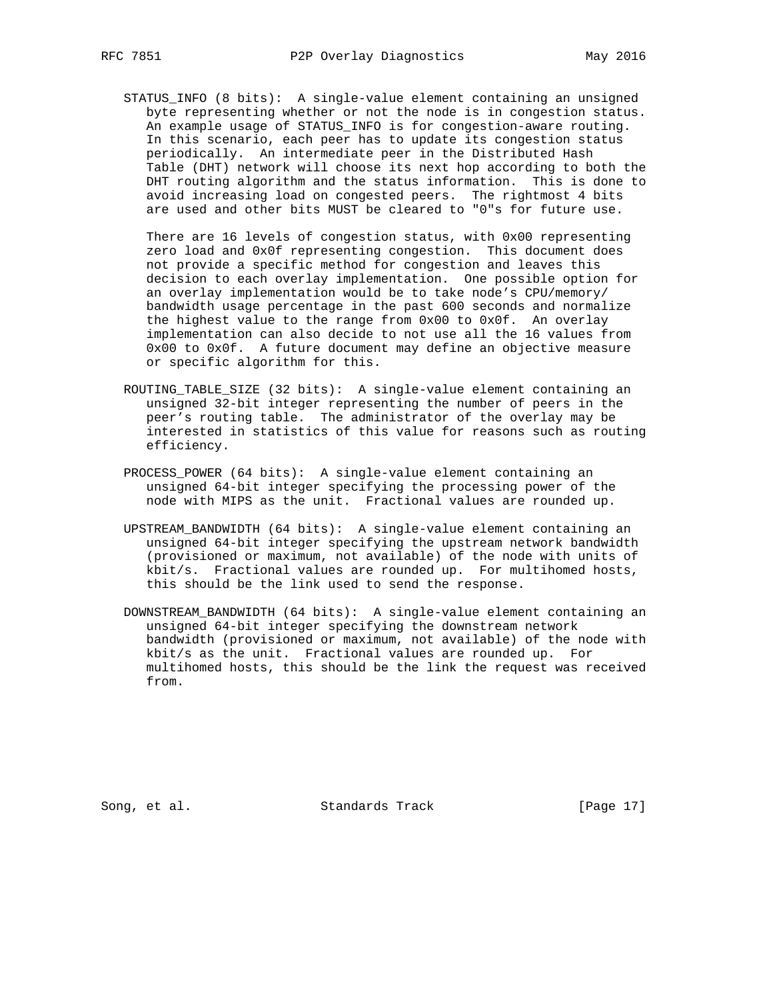STATUS\_INFO (8 bits): A single-value element containing an unsigned byte representing whether or not the node is in congestion status. An example usage of STATUS\_INFO is for congestion-aware routing. In this scenario, each peer has to update its congestion status periodically. An intermediate peer in the Distributed Hash Table (DHT) network will choose its next hop according to both the DHT routing algorithm and the status information. This is done to avoid increasing load on congested peers. The rightmost 4 bits are used and other bits MUST be cleared to "0"s for future use.

There are 16 levels of congestion status, with 0x00 representing zero load and 0x0f representing congestion. This document does not provide a specific method for congestion and leaves this decision to each overlay implementation. One possible option for an overlay implementation would be to take node's CPU/memory/ bandwidth usage percentage in the past 600 seconds and normalize the highest value to the range from 0x00 to 0x0f. An overlay implementation can also decide to not use all the 16 values from 0x00 to 0x0f. A future document may define an objective measure or specific algorithm for this.

- ROUTING\_TABLE\_SIZE (32 bits): A single-value element containing an unsigned 32-bit integer representing the number of peers in the peer's routing table. The administrator of the overlay may be interested in statistics of this value for reasons such as routing efficiency.
- PROCESS\_POWER (64 bits): A single-value element containing an unsigned 64-bit integer specifying the processing power of the node with MIPS as the unit. Fractional values are rounded up.
- UPSTREAM\_BANDWIDTH (64 bits): A single-value element containing an unsigned 64-bit integer specifying the upstream network bandwidth (provisioned or maximum, not available) of the node with units of kbit/s. Fractional values are rounded up. For multihomed hosts, this should be the link used to send the response.
- DOWNSTREAM\_BANDWIDTH (64 bits): A single-value element containing an unsigned 64-bit integer specifying the downstream network bandwidth (provisioned or maximum, not available) of the node with kbit/s as the unit. Fractional values are rounded up. For multihomed hosts, this should be the link the request was received from.

Song, et al. Standards Track [Page 17]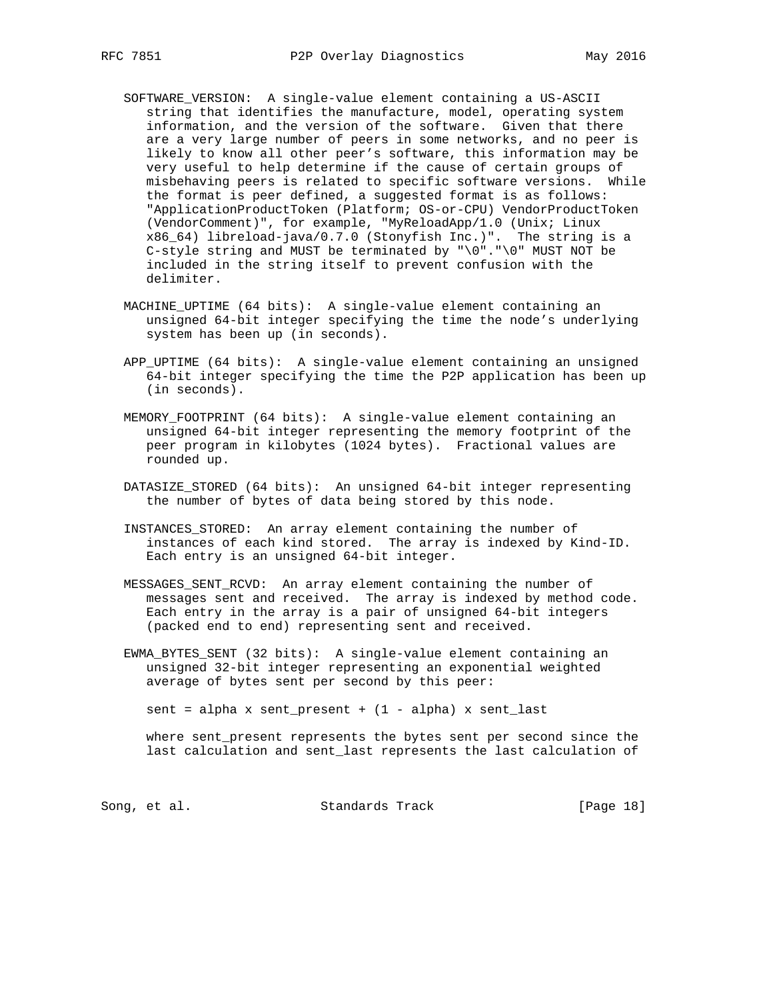- SOFTWARE\_VERSION: A single-value element containing a US-ASCII string that identifies the manufacture, model, operating system information, and the version of the software. Given that there are a very large number of peers in some networks, and no peer is likely to know all other peer's software, this information may be very useful to help determine if the cause of certain groups of misbehaving peers is related to specific software versions. While the format is peer defined, a suggested format is as follows: "ApplicationProductToken (Platform; OS-or-CPU) VendorProductToken (VendorComment)", for example, "MyReloadApp/1.0 (Unix; Linux x86\_64) libreload-java/0.7.0 (Stonyfish Inc.)". The string is a C-style string and MUST be terminated by "\0"."\0" MUST NOT be included in the string itself to prevent confusion with the delimiter.
- MACHINE\_UPTIME (64 bits): A single-value element containing an unsigned 64-bit integer specifying the time the node's underlying system has been up (in seconds).
- APP\_UPTIME (64 bits): A single-value element containing an unsigned 64-bit integer specifying the time the P2P application has been up (in seconds).
- MEMORY\_FOOTPRINT (64 bits): A single-value element containing an unsigned 64-bit integer representing the memory footprint of the peer program in kilobytes (1024 bytes). Fractional values are rounded up.
- DATASIZE\_STORED (64 bits): An unsigned 64-bit integer representing the number of bytes of data being stored by this node.
- INSTANCES\_STORED: An array element containing the number of instances of each kind stored. The array is indexed by Kind-ID. Each entry is an unsigned 64-bit integer.
- MESSAGES\_SENT\_RCVD: An array element containing the number of messages sent and received. The array is indexed by method code. Each entry in the array is a pair of unsigned 64-bit integers (packed end to end) representing sent and received.
- EWMA\_BYTES\_SENT (32 bits): A single-value element containing an unsigned 32-bit integer representing an exponential weighted average of bytes sent per second by this peer:

sent = alpha x sent\_present +  $(1 - alpha)$  x sent\_last

 where sent\_present represents the bytes sent per second since the last calculation and sent\_last represents the last calculation of

Song, et al. Standards Track [Page 18]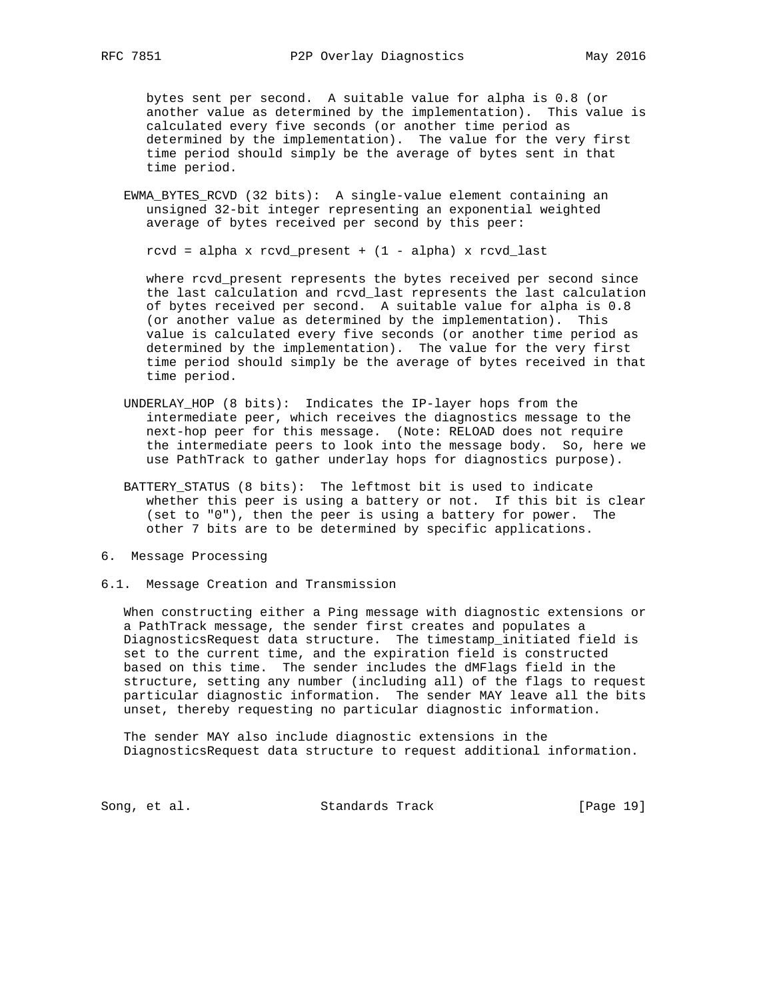bytes sent per second. A suitable value for alpha is 0.8 (or another value as determined by the implementation). This value is calculated every five seconds (or another time period as determined by the implementation). The value for the very first time period should simply be the average of bytes sent in that time period.

 EWMA\_BYTES\_RCVD (32 bits): A single-value element containing an unsigned 32-bit integer representing an exponential weighted average of bytes received per second by this peer:

rcvd = alpha x rcvd\_present +  $(1 - alpha)$  x rcvd\_last

 where rcvd\_present represents the bytes received per second since the last calculation and rcvd\_last represents the last calculation of bytes received per second. A suitable value for alpha is 0.8 (or another value as determined by the implementation). This value is calculated every five seconds (or another time period as determined by the implementation). The value for the very first time period should simply be the average of bytes received in that time period.

- UNDERLAY\_HOP (8 bits): Indicates the IP-layer hops from the intermediate peer, which receives the diagnostics message to the next-hop peer for this message. (Note: RELOAD does not require the intermediate peers to look into the message body. So, here we use PathTrack to gather underlay hops for diagnostics purpose).
- BATTERY\_STATUS (8 bits): The leftmost bit is used to indicate whether this peer is using a battery or not. If this bit is clear (set to "0"), then the peer is using a battery for power. The other 7 bits are to be determined by specific applications.
- 6. Message Processing
- 6.1. Message Creation and Transmission

 When constructing either a Ping message with diagnostic extensions or a PathTrack message, the sender first creates and populates a DiagnosticsRequest data structure. The timestamp\_initiated field is set to the current time, and the expiration field is constructed based on this time. The sender includes the dMFlags field in the structure, setting any number (including all) of the flags to request particular diagnostic information. The sender MAY leave all the bits unset, thereby requesting no particular diagnostic information.

 The sender MAY also include diagnostic extensions in the DiagnosticsRequest data structure to request additional information.

Song, et al. Standards Track [Page 19]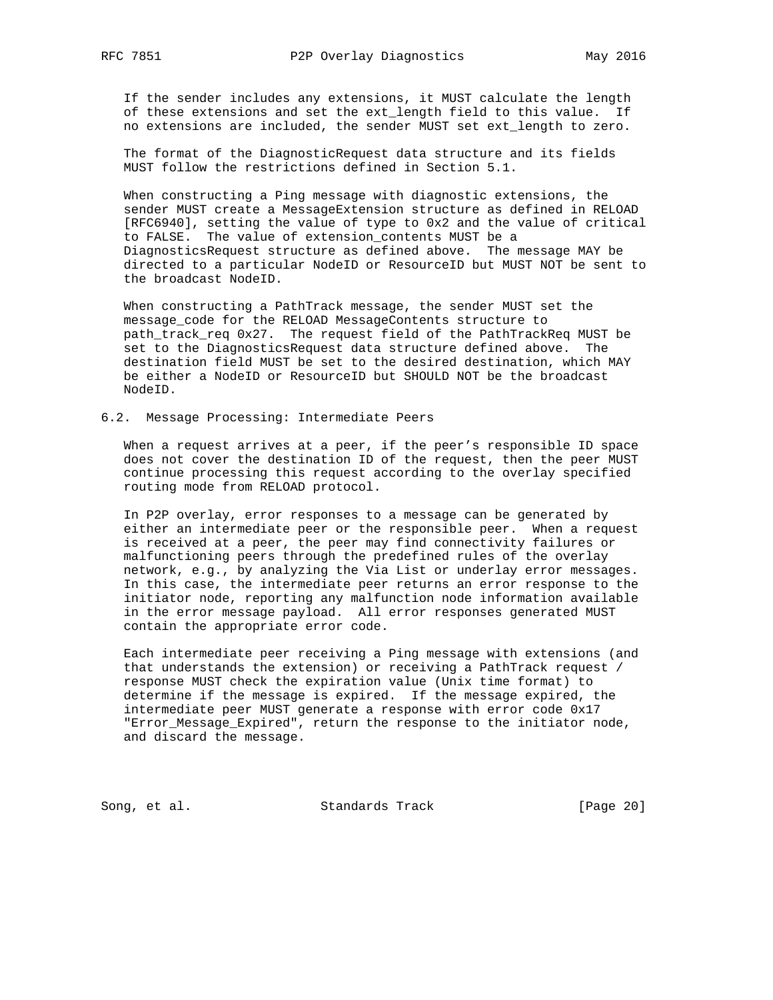If the sender includes any extensions, it MUST calculate the length of these extensions and set the ext\_length field to this value. If no extensions are included, the sender MUST set ext\_length to zero.

 The format of the DiagnosticRequest data structure and its fields MUST follow the restrictions defined in Section 5.1.

 When constructing a Ping message with diagnostic extensions, the sender MUST create a MessageExtension structure as defined in RELOAD [RFC6940], setting the value of type to 0x2 and the value of critical to FALSE. The value of extension\_contents MUST be a DiagnosticsRequest structure as defined above. The message MAY be directed to a particular NodeID or ResourceID but MUST NOT be sent to the broadcast NodeID.

 When constructing a PathTrack message, the sender MUST set the message\_code for the RELOAD MessageContents structure to path\_track\_req 0x27. The request field of the PathTrackReq MUST be set to the DiagnosticsRequest data structure defined above. The destination field MUST be set to the desired destination, which MAY be either a NodeID or ResourceID but SHOULD NOT be the broadcast NodeID.

#### 6.2. Message Processing: Intermediate Peers

 When a request arrives at a peer, if the peer's responsible ID space does not cover the destination ID of the request, then the peer MUST continue processing this request according to the overlay specified routing mode from RELOAD protocol.

 In P2P overlay, error responses to a message can be generated by either an intermediate peer or the responsible peer. When a request is received at a peer, the peer may find connectivity failures or malfunctioning peers through the predefined rules of the overlay network, e.g., by analyzing the Via List or underlay error messages. In this case, the intermediate peer returns an error response to the initiator node, reporting any malfunction node information available in the error message payload. All error responses generated MUST contain the appropriate error code.

 Each intermediate peer receiving a Ping message with extensions (and that understands the extension) or receiving a PathTrack request / response MUST check the expiration value (Unix time format) to determine if the message is expired. If the message expired, the intermediate peer MUST generate a response with error code 0x17 "Error\_Message\_Expired", return the response to the initiator node, and discard the message.

Song, et al. Standards Track [Page 20]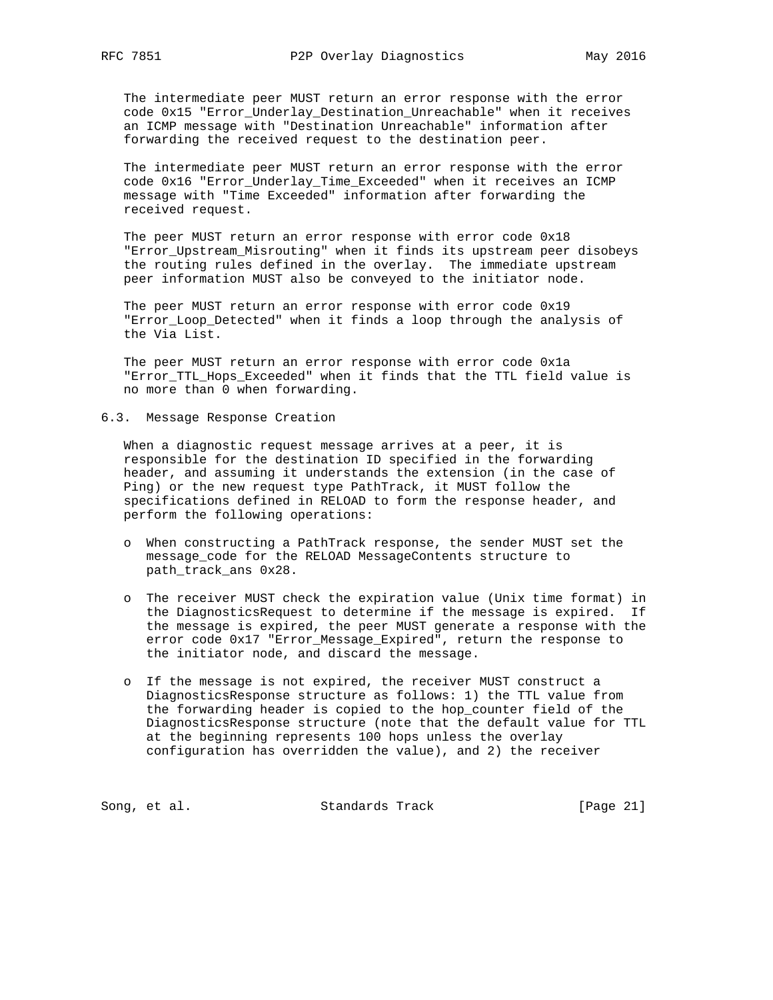The intermediate peer MUST return an error response with the error code 0x15 "Error\_Underlay\_Destination\_Unreachable" when it receives an ICMP message with "Destination Unreachable" information after forwarding the received request to the destination peer.

 The intermediate peer MUST return an error response with the error code 0x16 "Error\_Underlay\_Time\_Exceeded" when it receives an ICMP message with "Time Exceeded" information after forwarding the received request.

 The peer MUST return an error response with error code 0x18 "Error\_Upstream\_Misrouting" when it finds its upstream peer disobeys the routing rules defined in the overlay. The immediate upstream peer information MUST also be conveyed to the initiator node.

 The peer MUST return an error response with error code 0x19 "Error\_Loop\_Detected" when it finds a loop through the analysis of the Via List.

 The peer MUST return an error response with error code 0x1a "Error\_TTL\_Hops\_Exceeded" when it finds that the TTL field value is no more than 0 when forwarding.

6.3. Message Response Creation

 When a diagnostic request message arrives at a peer, it is responsible for the destination ID specified in the forwarding header, and assuming it understands the extension (in the case of Ping) or the new request type PathTrack, it MUST follow the specifications defined in RELOAD to form the response header, and perform the following operations:

- o When constructing a PathTrack response, the sender MUST set the message\_code for the RELOAD MessageContents structure to path\_track\_ans 0x28.
- o The receiver MUST check the expiration value (Unix time format) in the DiagnosticsRequest to determine if the message is expired. If the message is expired, the peer MUST generate a response with the error code 0x17 "Error\_Message\_Expired", return the response to the initiator node, and discard the message.
- o If the message is not expired, the receiver MUST construct a DiagnosticsResponse structure as follows: 1) the TTL value from the forwarding header is copied to the hop\_counter field of the DiagnosticsResponse structure (note that the default value for TTL at the beginning represents 100 hops unless the overlay configuration has overridden the value), and 2) the receiver

Song, et al. Standards Track [Page 21]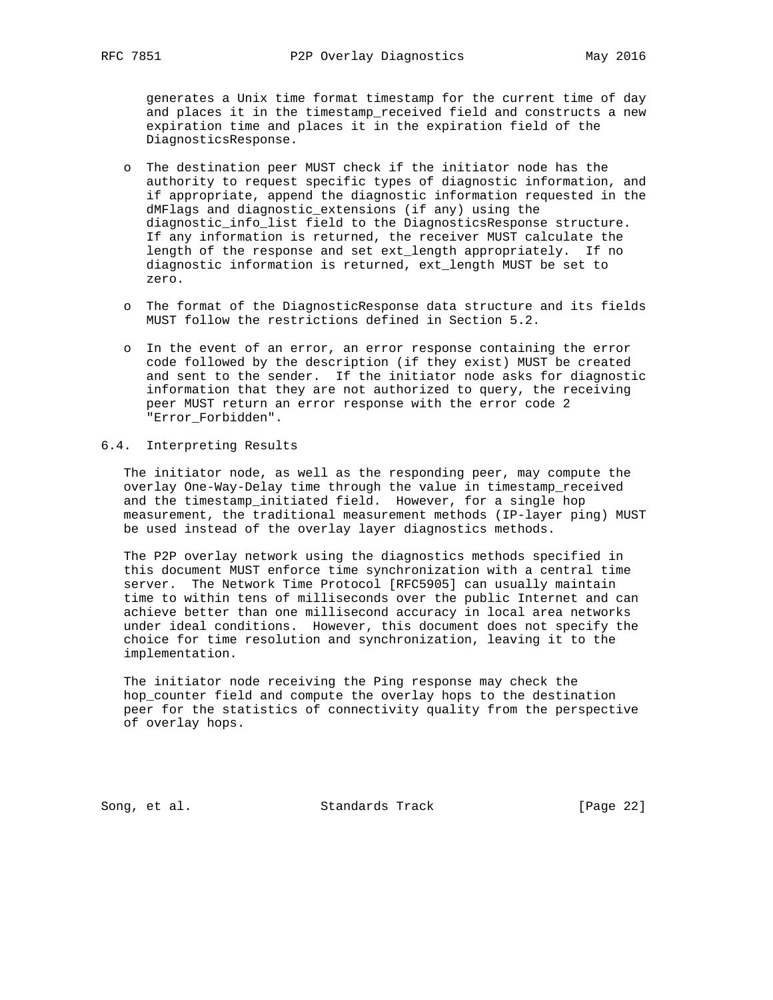generates a Unix time format timestamp for the current time of day and places it in the timestamp\_received field and constructs a new expiration time and places it in the expiration field of the DiagnosticsResponse.

- o The destination peer MUST check if the initiator node has the authority to request specific types of diagnostic information, and if appropriate, append the diagnostic information requested in the dMFlags and diagnostic\_extensions (if any) using the diagnostic\_info\_list field to the DiagnosticsResponse structure. If any information is returned, the receiver MUST calculate the length of the response and set ext\_length appropriately. If no diagnostic information is returned, ext\_length MUST be set to zero.
- o The format of the DiagnosticResponse data structure and its fields MUST follow the restrictions defined in Section 5.2.
- o In the event of an error, an error response containing the error code followed by the description (if they exist) MUST be created and sent to the sender. If the initiator node asks for diagnostic information that they are not authorized to query, the receiving peer MUST return an error response with the error code 2 "Error\_Forbidden".

## 6.4. Interpreting Results

 The initiator node, as well as the responding peer, may compute the overlay One-Way-Delay time through the value in timestamp\_received and the timestamp\_initiated field. However, for a single hop measurement, the traditional measurement methods (IP-layer ping) MUST be used instead of the overlay layer diagnostics methods.

 The P2P overlay network using the diagnostics methods specified in this document MUST enforce time synchronization with a central time server. The Network Time Protocol [RFC5905] can usually maintain time to within tens of milliseconds over the public Internet and can achieve better than one millisecond accuracy in local area networks under ideal conditions. However, this document does not specify the choice for time resolution and synchronization, leaving it to the implementation.

 The initiator node receiving the Ping response may check the hop\_counter field and compute the overlay hops to the destination peer for the statistics of connectivity quality from the perspective of overlay hops.

Song, et al. Standards Track [Page 22]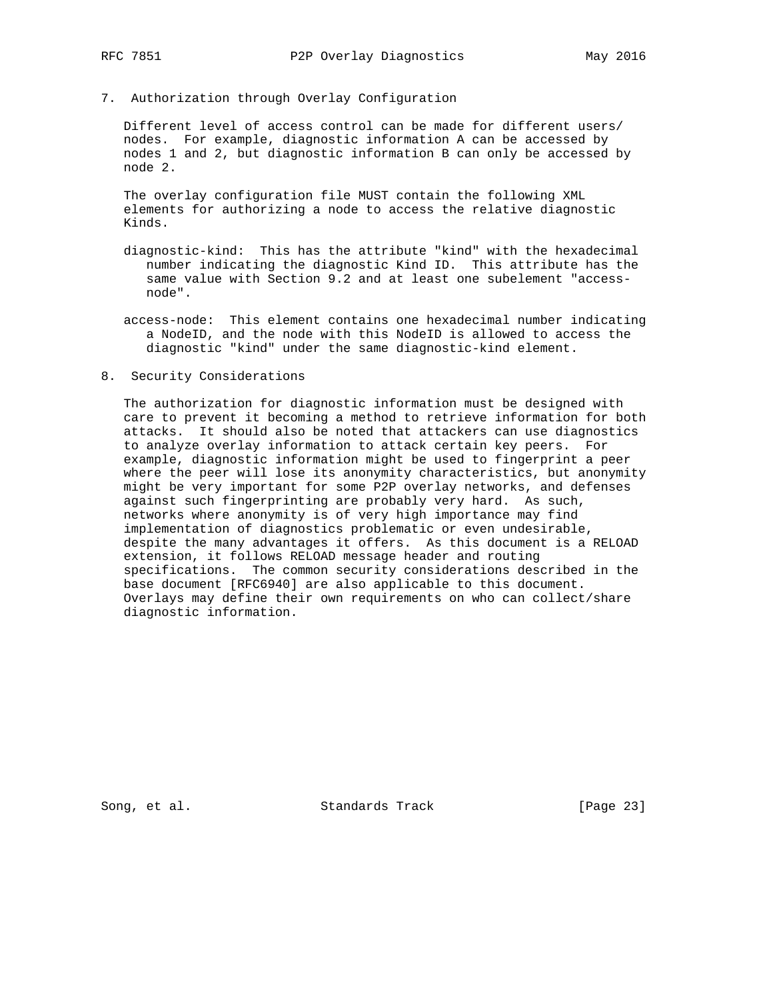- 
- 7. Authorization through Overlay Configuration

 Different level of access control can be made for different users/ nodes. For example, diagnostic information A can be accessed by nodes 1 and 2, but diagnostic information B can only be accessed by node 2.

 The overlay configuration file MUST contain the following XML elements for authorizing a node to access the relative diagnostic Kinds.

- diagnostic-kind: This has the attribute "kind" with the hexadecimal number indicating the diagnostic Kind ID. This attribute has the same value with Section 9.2 and at least one subelement "access node".
- access-node: This element contains one hexadecimal number indicating a NodeID, and the node with this NodeID is allowed to access the diagnostic "kind" under the same diagnostic-kind element.
- 8. Security Considerations

 The authorization for diagnostic information must be designed with care to prevent it becoming a method to retrieve information for both attacks. It should also be noted that attackers can use diagnostics to analyze overlay information to attack certain key peers. For example, diagnostic information might be used to fingerprint a peer where the peer will lose its anonymity characteristics, but anonymity might be very important for some P2P overlay networks, and defenses against such fingerprinting are probably very hard. As such, networks where anonymity is of very high importance may find implementation of diagnostics problematic or even undesirable, despite the many advantages it offers. As this document is a RELOAD extension, it follows RELOAD message header and routing specifications. The common security considerations described in the base document [RFC6940] are also applicable to this document. Overlays may define their own requirements on who can collect/share diagnostic information.

Song, et al. Standards Track [Page 23]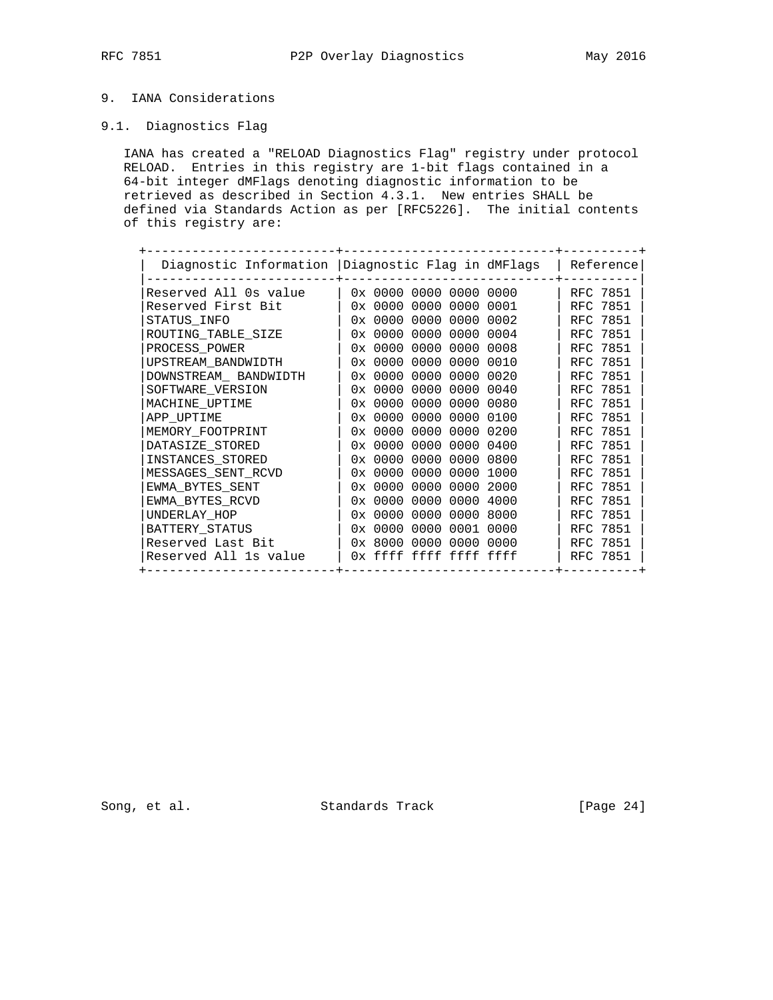## 9. IANA Considerations

## 9.1. Diagnostics Flag

 IANA has created a "RELOAD Diagnostics Flag" registry under protocol RELOAD. Entries in this registry are 1-bit flags contained in a 64-bit integer dMFlags denoting diagnostic information to be retrieved as described in Section 4.3.1. New entries SHALL be defined via Standards Action as per [RFC5226]. The initial contents of this registry are:

| Diagnostic Information   Diagnostic Flag in dMFlags |                        |           |      | Reference       |  |
|-----------------------------------------------------|------------------------|-----------|------|-----------------|--|
| Reserved All Os value                               | 0x 0000 0000           | 0000 0000 |      | RFC 7851        |  |
| Reserved First Bit                                  | 0x0000000              | 0000      | 0001 | RFC 7851        |  |
| STATUS INFO                                         | 0x0000000              | 0000      | 0002 | RFC 7851        |  |
| ROUTING TABLE SIZE                                  | 0x0000000              | 0000      | 0004 | RFC 7851        |  |
| PROCESS POWER                                       | 0x 0000 0000           | 0000      | 0008 | <b>RFC 7851</b> |  |
| UPSTREAM BANDWIDTH                                  | 0x0000000              | 0000      | 0010 | RFC 7851        |  |
| DOWNSTREAM BANDWIDTH                                | 0x 0000 0000           | 0000      | 0020 | RFC 7851        |  |
| SOFTWARE VERSION                                    | 0x0000000              | 0000      | 0040 | RFC 7851        |  |
| MACHINE UPTIME                                      | 0x0000000              | 0000      | 0080 | RFC 7851        |  |
| APP UPTIME                                          | $0 \times 00000000$    | 0000      | 0100 | RFC 7851        |  |
| MEMORY FOOTPRINT                                    | 0x0000000              | 0000      | 0200 | RFC 7851        |  |
| DATASIZE STORED                                     | 0x0000000              | 0000      | 0400 | RFC 7851        |  |
| INSTANCES STORED                                    | $0 \times 00000000$    | 0000      | 0800 | RFC 7851        |  |
| MESSAGES SENT RCVD                                  | 0x0000000              | 0000      | 1000 | RFC 7851        |  |
| EWMA BYTES SENT                                     | 0x0000000              | 0000      | 2000 | RFC 7851        |  |
| EWMA BYTES RCVD                                     | 0x0000000              | 0000      | 4000 | RFC 7851        |  |
| UNDERLAY HOP                                        | $0 \times 00000000$    | 0000      | 8000 | RFC 7851        |  |
| BATTERY STATUS                                      | 0x0000000              | 0001      | 0000 | RFC 7851        |  |
| Reserved Last Bit                                   | 0x 8000 0000           | 0000 0000 |      | RFC 7851        |  |
| Reserved All 1s value                               | Ox ffff ffff ffff ffff |           |      | RFC 7851        |  |

Song, et al. Standards Track [Page 24]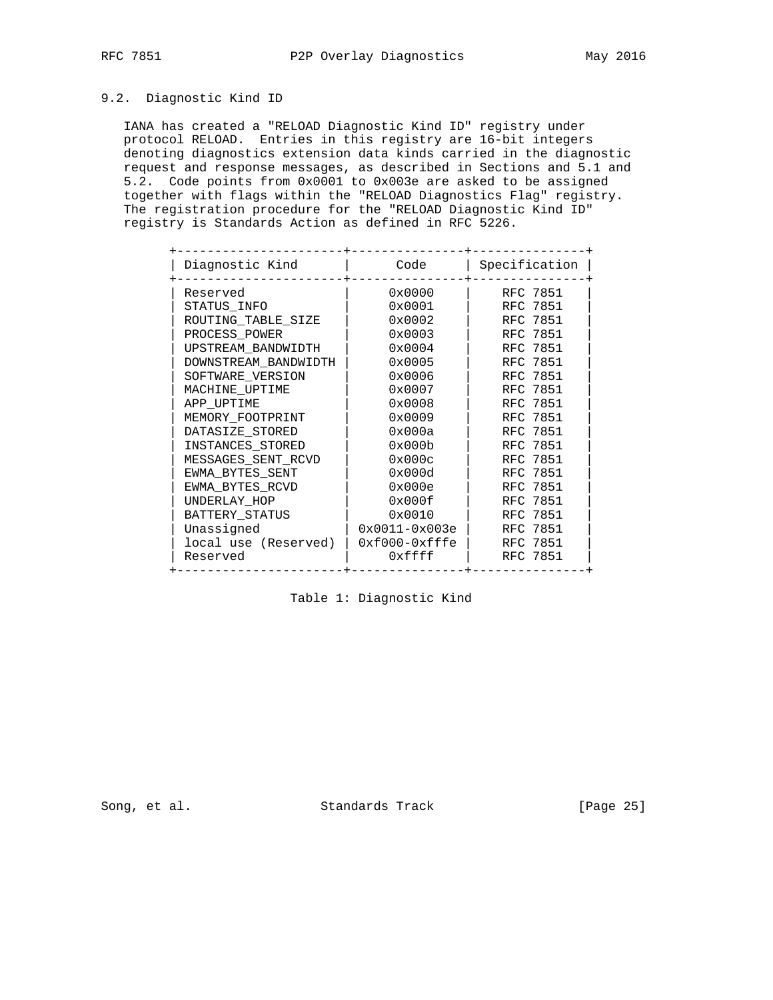## 9.2. Diagnostic Kind ID

 IANA has created a "RELOAD Diagnostic Kind ID" registry under protocol RELOAD. Entries in this registry are 16-bit integers denoting diagnostics extension data kinds carried in the diagnostic request and response messages, as described in Sections and 5.1 and 5.2. Code points from 0x0001 to 0x003e are asked to be assigned together with flags within the "RELOAD Diagnostics Flag" registry. The registration procedure for the "RELOAD Diagnostic Kind ID" registry is Standards Action as defined in RFC 5226.

| Diagnostic Kind      | Code              | Specification |
|----------------------|-------------------|---------------|
| Reserved             | 0x0000            | RFC 7851      |
| STATUS INFO          | 0x0001            | RFC 7851      |
| ROUTING TABLE SIZE   | 0x0002            | RFC 7851      |
| PROCESS POWER        | 0x0003            | RFC 7851      |
| UPSTREAM BANDWIDTH   | 0x0004            | RFC 7851      |
| DOWNSTREAM BANDWIDTH | 0x0005            | RFC 7851      |
| SOFTWARE VERSION     | $0 \times 0006$   | RFC 7851      |
| MACHINE UPTIME       | 0x0007            | RFC 7851      |
| APP UPTIME           | 0x0008            | RFC 7851      |
| MEMORY FOOTPRINT     | 0x0009            | RFC 7851      |
| DATASIZE STORED      | 0x000a            | RFC 7851      |
| INSTANCES STORED     | 0x000b            | RFC 7851      |
| MESSAGES_SENT_RCVD   | 0x000c            | RFC 7851      |
| EWMA BYTES SENT      | 0x000d            | RFC 7851      |
| EWMA BYTES RCVD      | 0x000e            | RFC 7851      |
| UNDERLAY_HOP         | 0x000f            | RFC 7851      |
| BATTERY STATUS       | 0x0010            | RFC 7851      |
| Unassigned           | $0x0011 - 0x003e$ | RFC 7851      |
| local use (Reserved) | $0xf000-0xfffe$   | RFC 7851      |
| Reserved             | 0xffff            | RFC 7851      |
|                      |                   |               |

## Table 1: Diagnostic Kind

Song, et al. Standards Track [Page 25]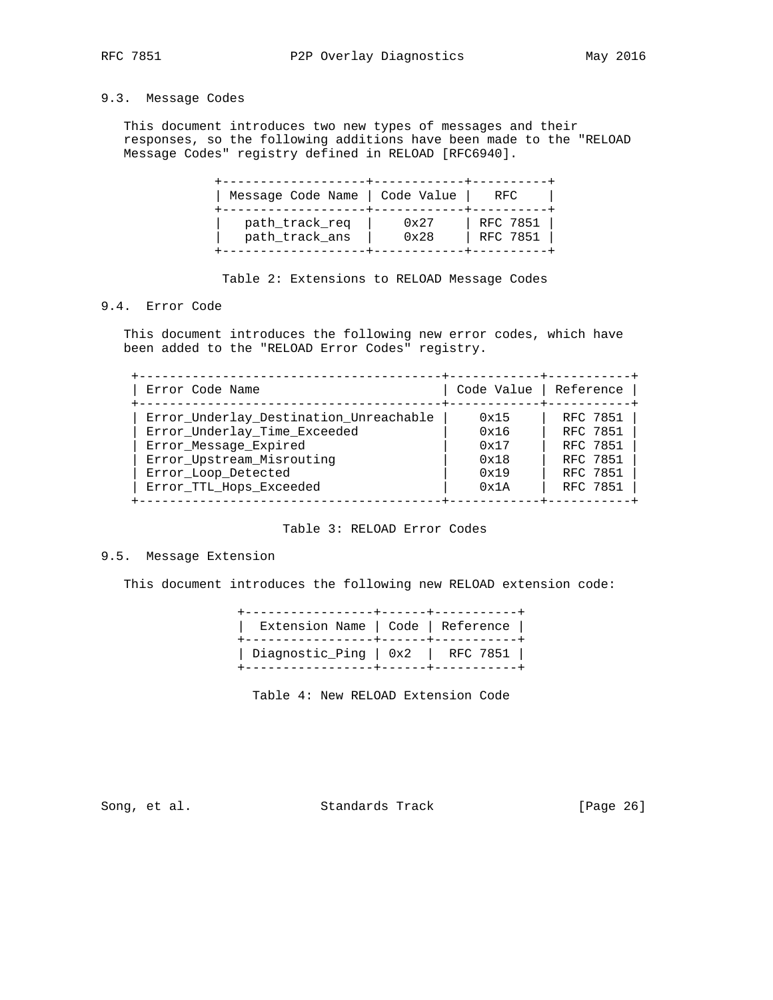## 9.3. Message Codes

 This document introduces two new types of messages and their responses, so the following additions have been made to the "RELOAD Message Codes" registry defined in RELOAD [RFC6940].

| Message Code Name   Code Value |      | RFC      |
|--------------------------------|------|----------|
| path_track_req                 | 0x27 | RFC 7851 |
| path_track_ans                 | 0x28 | RFC 7851 |

Table 2: Extensions to RELOAD Message Codes

## 9.4. Error Code

 This document introduces the following new error codes, which have been added to the "RELOAD Error Codes" registry.

| Error Code Name                        | Code Value   Reference |          |
|----------------------------------------|------------------------|----------|
| Error_Underlay_Destination_Unreachable | 0x15                   | RFC 7851 |
| Error Underlay Time Exceeded           | 0x16                   | RFC 7851 |
| Error_Message_Expired                  | 0x17                   | RFC 7851 |
| Error Upstream Misrouting              | 0x18                   | RFC 7851 |
| Error Loop Detected                    | 0x19                   | RFC 7851 |
| Error TTL Hops Exceeded                | 0x1A                   | RFC 7851 |

## Table 3: RELOAD Error Codes

### 9.5. Message Extension

This document introduces the following new RELOAD extension code:

| Extension Name   Code   Reference  |  |  |
|------------------------------------|--|--|
| Diagnostic_Ping   $0x2$   RFC 7851 |  |  |

Table 4: New RELOAD Extension Code

Song, et al. Standards Track [Page 26]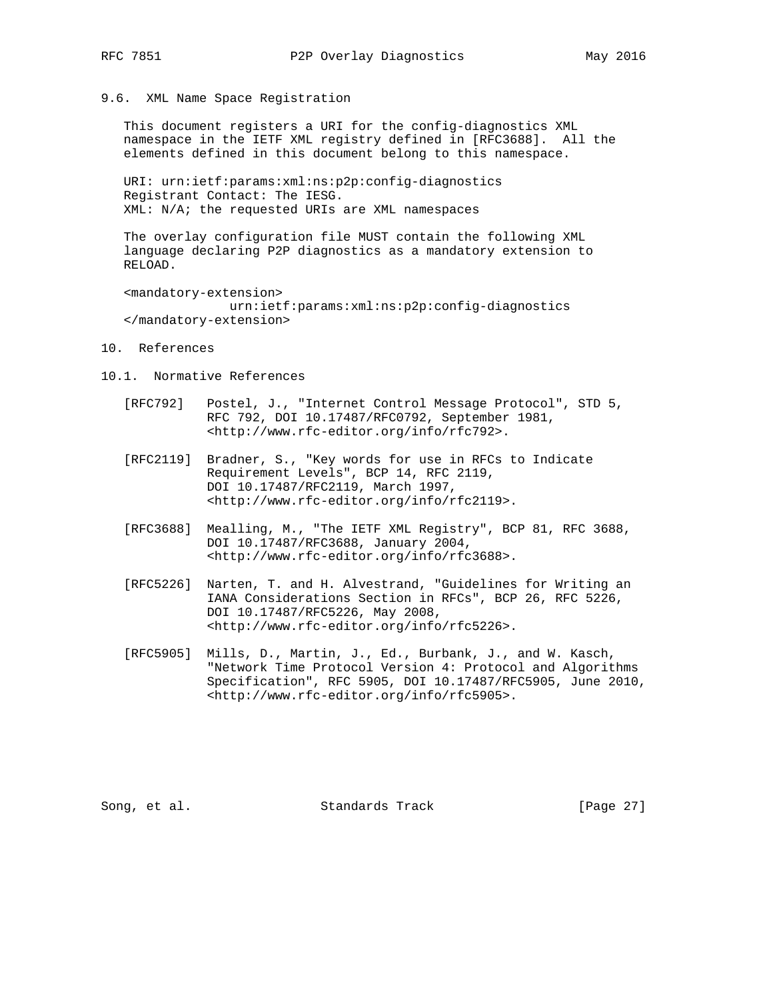- 
- 9.6. XML Name Space Registration

 This document registers a URI for the config-diagnostics XML namespace in the IETF XML registry defined in [RFC3688]. All the elements defined in this document belong to this namespace.

 URI: urn:ietf:params:xml:ns:p2p:config-diagnostics Registrant Contact: The IESG. XML: N/A; the requested URIs are XML namespaces

 The overlay configuration file MUST contain the following XML language declaring P2P diagnostics as a mandatory extension to RELOAD.

 <mandatory-extension> urn:ietf:params:xml:ns:p2p:config-diagnostics </mandatory-extension>

- 10. References
- 10.1. Normative References
	- [RFC792] Postel, J., "Internet Control Message Protocol", STD 5, RFC 792, DOI 10.17487/RFC0792, September 1981, <http://www.rfc-editor.org/info/rfc792>.
	- [RFC2119] Bradner, S., "Key words for use in RFCs to Indicate Requirement Levels", BCP 14, RFC 2119, DOI 10.17487/RFC2119, March 1997, <http://www.rfc-editor.org/info/rfc2119>.
	- [RFC3688] Mealling, M., "The IETF XML Registry", BCP 81, RFC 3688, DOI 10.17487/RFC3688, January 2004, <http://www.rfc-editor.org/info/rfc3688>.
	- [RFC5226] Narten, T. and H. Alvestrand, "Guidelines for Writing an IANA Considerations Section in RFCs", BCP 26, RFC 5226, DOI 10.17487/RFC5226, May 2008, <http://www.rfc-editor.org/info/rfc5226>.
	- [RFC5905] Mills, D., Martin, J., Ed., Burbank, J., and W. Kasch, "Network Time Protocol Version 4: Protocol and Algorithms Specification", RFC 5905, DOI 10.17487/RFC5905, June 2010, <http://www.rfc-editor.org/info/rfc5905>.

Song, et al. Standards Track [Page 27]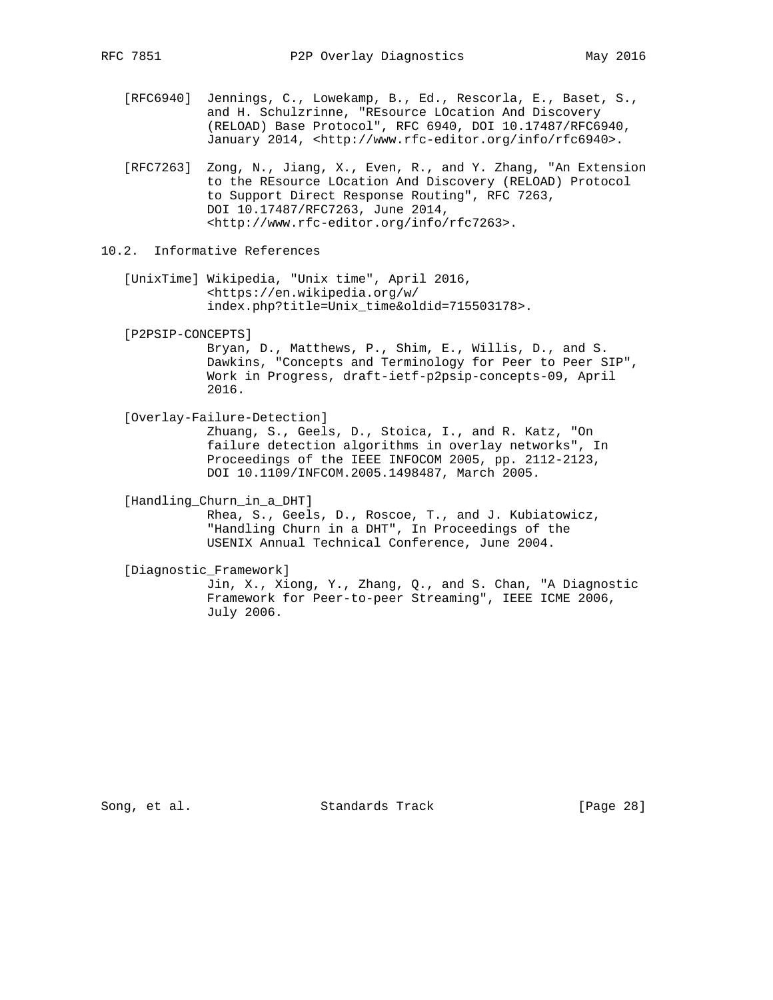- [RFC6940] Jennings, C., Lowekamp, B., Ed., Rescorla, E., Baset, S., and H. Schulzrinne, "REsource LOcation And Discovery (RELOAD) Base Protocol", RFC 6940, DOI 10.17487/RFC6940, January 2014, <http://www.rfc-editor.org/info/rfc6940>.
- [RFC7263] Zong, N., Jiang, X., Even, R., and Y. Zhang, "An Extension to the REsource LOcation And Discovery (RELOAD) Protocol to Support Direct Response Routing", RFC 7263, DOI 10.17487/RFC7263, June 2014, <http://www.rfc-editor.org/info/rfc7263>.

10.2. Informative References

- [UnixTime] Wikipedia, "Unix time", April 2016, <https://en.wikipedia.org/w/ index.php?title=Unix\_time&oldid=715503178>.
- [P2PSIP-CONCEPTS]

 Bryan, D., Matthews, P., Shim, E., Willis, D., and S. Dawkins, "Concepts and Terminology for Peer to Peer SIP", Work in Progress, draft-ietf-p2psip-concepts-09, April 2016.

[Overlay-Failure-Detection]

 Zhuang, S., Geels, D., Stoica, I., and R. Katz, "On failure detection algorithms in overlay networks", In Proceedings of the IEEE INFOCOM 2005, pp. 2112-2123, DOI 10.1109/INFCOM.2005.1498487, March 2005.

[Handling\_Churn\_in\_a\_DHT]

 Rhea, S., Geels, D., Roscoe, T., and J. Kubiatowicz, "Handling Churn in a DHT", In Proceedings of the USENIX Annual Technical Conference, June 2004.

 [Diagnostic\_Framework] Jin, X., Xiong, Y., Zhang, Q., and S. Chan, "A Diagnostic Framework for Peer-to-peer Streaming", IEEE ICME 2006, July 2006.

Song, et al. Standards Track [Page 28]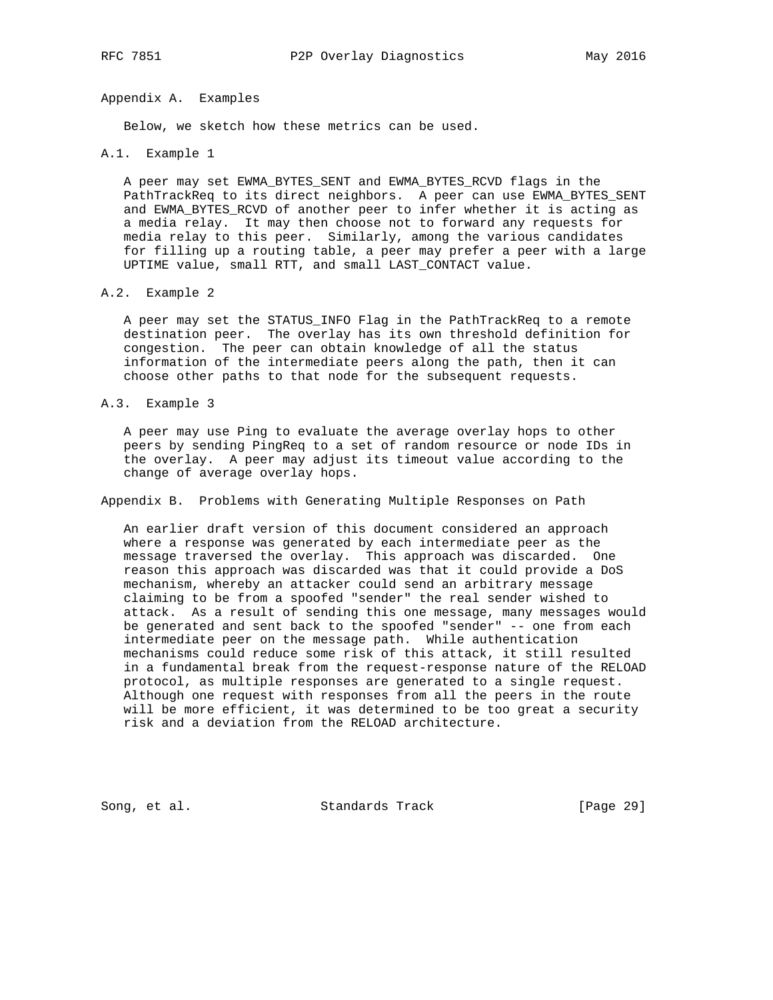Appendix A. Examples

Below, we sketch how these metrics can be used.

A.1. Example 1

 A peer may set EWMA\_BYTES\_SENT and EWMA\_BYTES\_RCVD flags in the PathTrackReq to its direct neighbors. A peer can use EWMA\_BYTES\_SENT and EWMA\_BYTES\_RCVD of another peer to infer whether it is acting as a media relay. It may then choose not to forward any requests for media relay to this peer. Similarly, among the various candidates for filling up a routing table, a peer may prefer a peer with a large UPTIME value, small RTT, and small LAST\_CONTACT value.

A.2. Example 2

 A peer may set the STATUS\_INFO Flag in the PathTrackReq to a remote destination peer. The overlay has its own threshold definition for congestion. The peer can obtain knowledge of all the status information of the intermediate peers along the path, then it can choose other paths to that node for the subsequent requests.

A.3. Example 3

 A peer may use Ping to evaluate the average overlay hops to other peers by sending PingReq to a set of random resource or node IDs in the overlay. A peer may adjust its timeout value according to the change of average overlay hops.

Appendix B. Problems with Generating Multiple Responses on Path

 An earlier draft version of this document considered an approach where a response was generated by each intermediate peer as the message traversed the overlay. This approach was discarded. One reason this approach was discarded was that it could provide a DoS mechanism, whereby an attacker could send an arbitrary message claiming to be from a spoofed "sender" the real sender wished to attack. As a result of sending this one message, many messages would be generated and sent back to the spoofed "sender" -- one from each intermediate peer on the message path. While authentication mechanisms could reduce some risk of this attack, it still resulted in a fundamental break from the request-response nature of the RELOAD protocol, as multiple responses are generated to a single request. Although one request with responses from all the peers in the route will be more efficient, it was determined to be too great a security risk and a deviation from the RELOAD architecture.

Song, et al. Standards Track [Page 29]